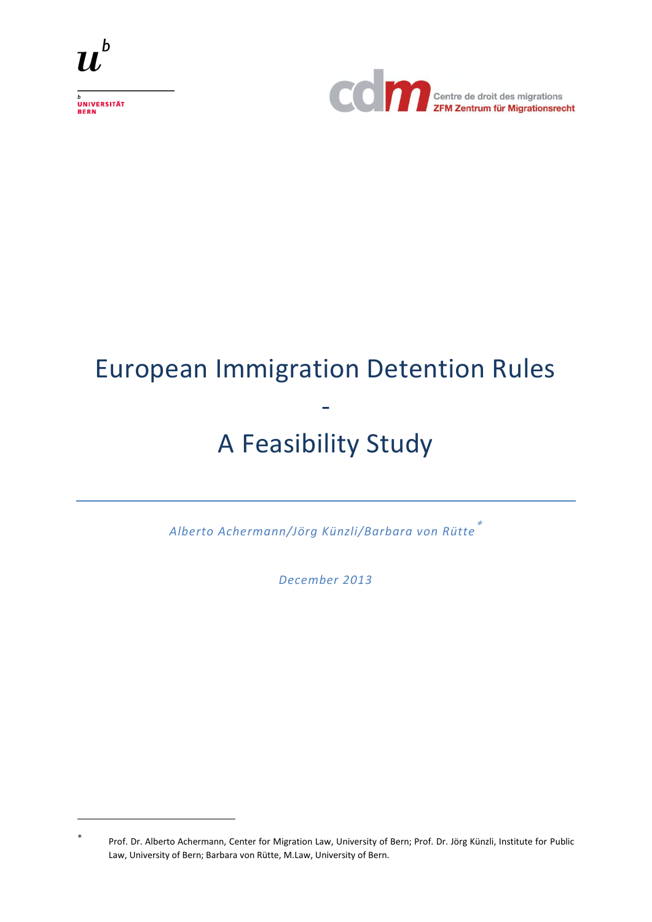

<sub>b</sub><br>Universität<br>Bern

 $\overline{a}$ 



# European Immigration Detention Rules - A Feasibility Study

*Alberto Achermann/Jörg Künzli/Barbara von Rütte*

*December 2013*

<sup>\*</sup> Prof. Dr. Alberto Achermann, Center for Migration Law, University of Bern; Prof. Dr. Jörg Künzli, Institute for Public Law, University of Bern; Barbara von Rütte, M.Law, University of Bern.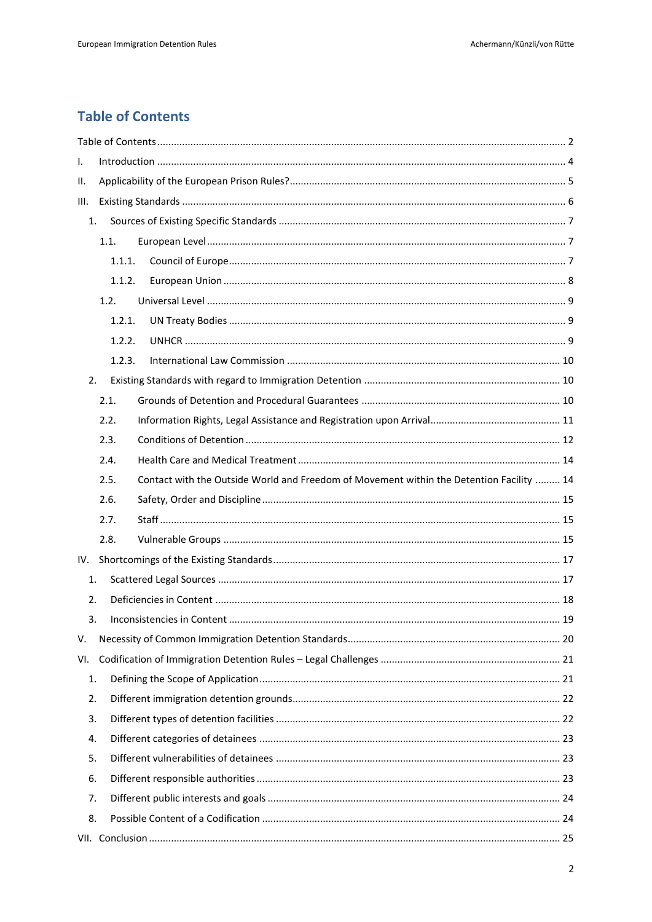# **Table of Contents**

| I.   |        |                                                                                          |  |  |  |
|------|--------|------------------------------------------------------------------------------------------|--|--|--|
| ΙΙ.  |        |                                                                                          |  |  |  |
| III. |        |                                                                                          |  |  |  |
| 1.   |        |                                                                                          |  |  |  |
|      | 1.1.   |                                                                                          |  |  |  |
|      | 1.1.1. |                                                                                          |  |  |  |
|      | 1.1.2. |                                                                                          |  |  |  |
|      | 1.2.   |                                                                                          |  |  |  |
|      | 1.2.1. |                                                                                          |  |  |  |
|      | 1.2.2. |                                                                                          |  |  |  |
|      | 1.2.3. |                                                                                          |  |  |  |
| 2.   |        |                                                                                          |  |  |  |
|      | 2.1.   |                                                                                          |  |  |  |
|      | 2.2.   |                                                                                          |  |  |  |
|      | 2.3.   |                                                                                          |  |  |  |
|      | 2.4.   |                                                                                          |  |  |  |
|      | 2.5.   | Contact with the Outside World and Freedom of Movement within the Detention Facility  14 |  |  |  |
|      | 2.6.   |                                                                                          |  |  |  |
|      | 2.7.   |                                                                                          |  |  |  |
|      | 2.8.   |                                                                                          |  |  |  |
| IV.  |        |                                                                                          |  |  |  |
| 1.   |        |                                                                                          |  |  |  |
| 2.   |        |                                                                                          |  |  |  |
| 3.   |        |                                                                                          |  |  |  |
| V.   |        |                                                                                          |  |  |  |
| VI.  |        |                                                                                          |  |  |  |
| 1.   |        |                                                                                          |  |  |  |
| 2.   |        |                                                                                          |  |  |  |
| 3.   |        |                                                                                          |  |  |  |
| 4.   |        |                                                                                          |  |  |  |
| 5.   |        |                                                                                          |  |  |  |
| 6.   |        |                                                                                          |  |  |  |
| 7.   |        |                                                                                          |  |  |  |
| 8.   |        |                                                                                          |  |  |  |
|      |        |                                                                                          |  |  |  |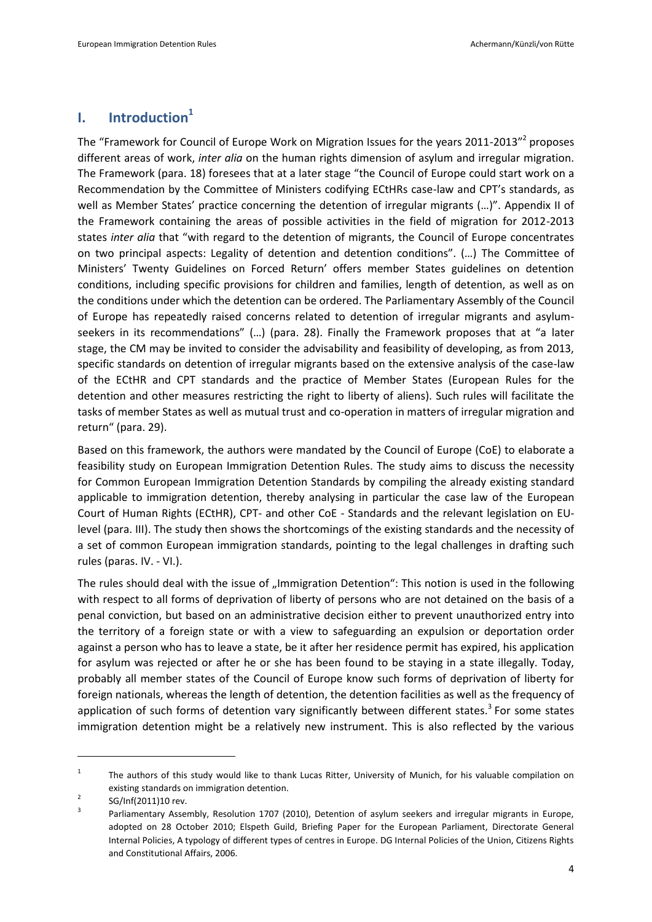# **I. Introduction<sup>1</sup>**

The "Framework for Council of Europe Work on Migration Issues for the years 2011-2013"<sup>2</sup> proposes different areas of work, *inter alia* on the human rights dimension of asylum and irregular migration. The Framework (para. 18) foresees that at a later stage "the Council of Europe could start work on a Recommendation by the Committee of Ministers codifying ECtHRs case-law and CPT's standards, as well as Member States' practice concerning the detention of irregular migrants (…)". Appendix II of the Framework containing the areas of possible activities in the field of migration for 2012-2013 states *inter alia* that "with regard to the detention of migrants, the Council of Europe concentrates on two principal aspects: Legality of detention and detention conditions". (…) The Committee of Ministers' Twenty Guidelines on Forced Return' offers member States guidelines on detention conditions, including specific provisions for children and families, length of detention, as well as on the conditions under which the detention can be ordered. The Parliamentary Assembly of the Council of Europe has repeatedly raised concerns related to detention of irregular migrants and asylumseekers in its recommendations" (...) (para. 28). Finally the Framework proposes that at "a later stage, the CM may be invited to consider the advisability and feasibility of developing, as from 2013, specific standards on detention of irregular migrants based on the extensive analysis of the case-law of the ECtHR and CPT standards and the practice of Member States (European Rules for the detention and other measures restricting the right to liberty of aliens). Such rules will facilitate the tasks of member States as well as mutual trust and co-operation in matters of irregular migration and return" (para. 29).

Based on this framework, the authors were mandated by the Council of Europe (CoE) to elaborate a feasibility study on European Immigration Detention Rules. The study aims to discuss the necessity for Common European Immigration Detention Standards by compiling the already existing standard applicable to immigration detention, thereby analysing in particular the case law of the European Court of Human Rights (ECtHR), CPT- and other CoE - Standards and the relevant legislation on EUlevel (para. III). The study then shows the shortcomings of the existing standards and the necessity of a set of common European immigration standards, pointing to the legal challenges in drafting such rules (paras. IV. - VI.).

The rules should deal with the issue of "Immigration Detention": This notion is used in the following with respect to all forms of deprivation of liberty of persons who are not detained on the basis of a penal conviction, but based on an administrative decision either to prevent unauthorized entry into the territory of a foreign state or with a view to safeguarding an expulsion or deportation order against a person who has to leave a state, be it after her residence permit has expired, his application for asylum was rejected or after he or she has been found to be staying in a state illegally. Today, probably all member states of the Council of Europe know such forms of deprivation of liberty for foreign nationals, whereas the length of detention, the detention facilities as well as the frequency of application of such forms of detention vary significantly between different states.<sup>3</sup> For some states immigration detention might be a relatively new instrument. This is also reflected by the various

<span id="page-3-0"></span><sup>1</sup> The authors of this study would like to thank Lucas Ritter, University of Munich, for his valuable compilation on existing standards on immigration detention.

<sup>2</sup> SG/Inf(2011)10 rev.

<sup>3</sup> Parliamentary Assembly, Resolution 1707 (2010), Detention of asylum seekers and irregular migrants in Europe, adopted on 28 October 2010; Elspeth Guild, Briefing Paper for the European Parliament, Directorate General Internal Policies, A typology of different types of centres in Europe. DG Internal Policies of the Union, Citizens Rights and Constitutional Affairs, 2006.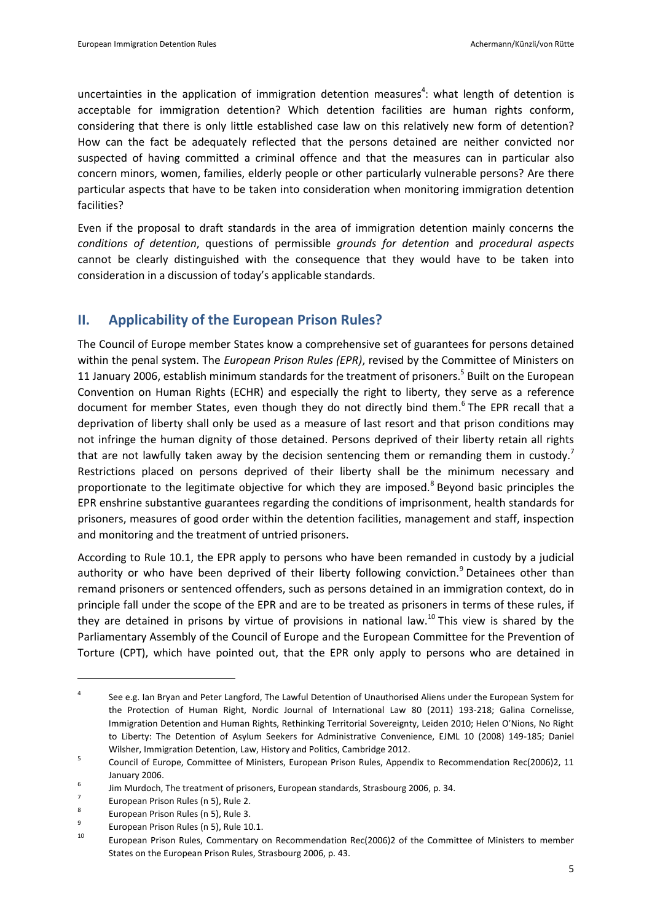<span id="page-4-1"></span>uncertainties in the application of immigration detention measures<sup>4</sup>: what length of detention is acceptable for immigration detention? Which detention facilities are human rights conform, considering that there is only little established case law on this relatively new form of detention? How can the fact be adequately reflected that the persons detained are neither convicted nor suspected of having committed a criminal offence and that the measures can in particular also concern minors, women, families, elderly people or other particularly vulnerable persons? Are there particular aspects that have to be taken into consideration when monitoring immigration detention facilities?

Even if the proposal to draft standards in the area of immigration detention mainly concerns the *conditions of detention*, questions of permissible *grounds for detention* and *procedural aspects* cannot be clearly distinguished with the consequence that they would have to be taken into consideration in a discussion of today's applicable standards.

# <span id="page-4-2"></span>**II. Applicability of the European Prison Rules?**

<span id="page-4-0"></span>The Council of Europe member States know a comprehensive set of guarantees for persons detained within the penal system. The *European Prison Rules (EPR)*, revised by the Committee of Ministers on 11 January 2006, establish minimum standards for the treatment of prisoners.<sup>5</sup> Built on the European Convention on Human Rights (ECHR) and especially the right to liberty, they serve as a reference document for member States, even though they do not directly bind them.<sup>6</sup> The EPR recall that a deprivation of liberty shall only be used as a measure of last resort and that prison conditions may not infringe the human dignity of those detained. Persons deprived of their liberty retain all rights that are not lawfully taken away by the decision sentencing them or remanding them in custody.<sup>7</sup> Restrictions placed on persons deprived of their liberty shall be the minimum necessary and proportionate to the legitimate objective for which they are imposed.<sup>8</sup> Beyond basic principles the EPR enshrine substantive guarantees regarding the conditions of imprisonment, health standards for prisoners, measures of good order within the detention facilities, management and staff, inspection and monitoring and the treatment of untried prisoners.

<span id="page-4-3"></span>According to Rule 10.1, the EPR apply to persons who have been remanded in custody by a judicial authority or who have been deprived of their liberty following conviction.<sup>9</sup> Detainees other than remand prisoners or sentenced offenders, such as persons detained in an immigration context, do in principle fall under the scope of the EPR and are to be treated as prisoners in terms of these rules, if they are detained in prisons by virtue of provisions in national law.<sup>10</sup> This view is shared by the Parliamentary Assembly of the Council of Europe and the European Committee for the Prevention of Torture (CPT), which have pointed out, that the EPR only apply to persons who are detained in

<sup>4</sup> See e.g. Ian Bryan and Peter Langford, The Lawful Detention of Unauthorised Aliens under the European System for the Protection of Human Right, Nordic Journal of International Law 80 (2011) 193-218; Galina Cornelisse, Immigration Detention and Human Rights, Rethinking Territorial Sovereignty, Leiden 2010; Helen O'Nions, No Right to Liberty: The Detention of Asylum Seekers for Administrative Convenience, EJML 10 (2008) 149-185; Daniel Wilsher, Immigration Detention, Law, History and Politics, Cambridge 2012.

<sup>5</sup> Council of Europe, Committee of Ministers, European Prison Rules, Appendix to Recommendation Rec(2006)2, 11 January 2006.

<sup>6</sup> Jim Murdoch, The treatment of prisoners, European standards, Strasbourg 2006, p. 34.

<sup>7</sup> European Prison Rules ([n 5\)](#page-4-0), Rule 2.

<sup>8</sup> European Prison Rules ([n 5\)](#page-4-0), Rule 3.

<sup>9</sup> European Prison Rules ([n 5\)](#page-4-0), Rule 10.1.

<sup>10</sup> European Prison Rules, Commentary on Recommendation Rec(2006)2 of the Committee of Ministers to member States on the European Prison Rules, Strasbourg 2006, p. 43.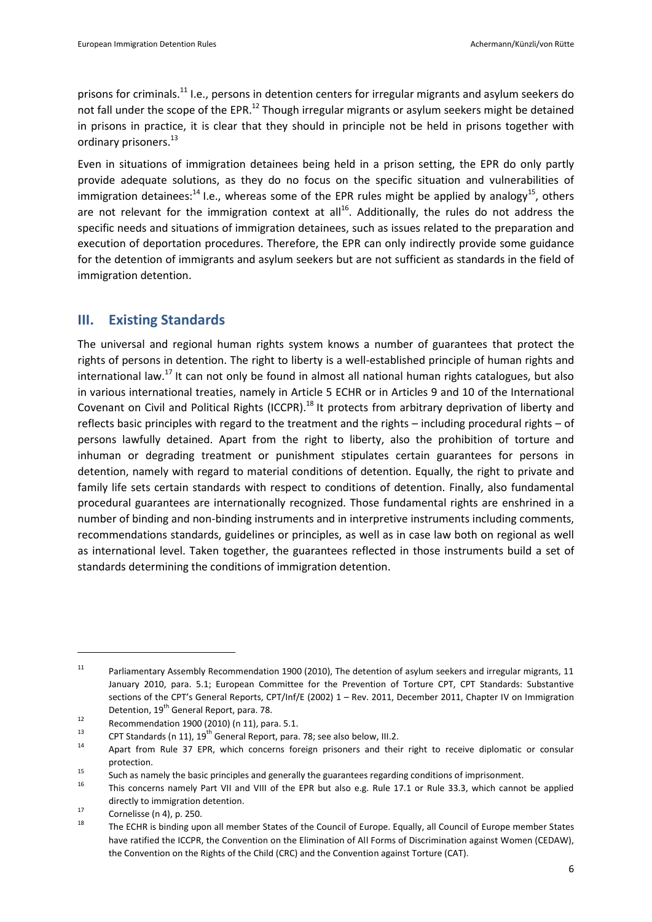<span id="page-5-0"></span>prisons for criminals.<sup>11</sup> I.e., persons in detention centers for irregular migrants and asylum seekers do not fall under the scope of the EPR.<sup>12</sup> Though irregular migrants or asylum seekers might be detained in prisons in practice, it is clear that they should in principle not be held in prisons together with ordinary prisoners.<sup>13</sup>

Even in situations of immigration detainees being held in a prison setting, the EPR do only partly provide adequate solutions, as they do no focus on the specific situation and vulnerabilities of immigration detainees: $^{14}$  I.e., whereas some of the EPR rules might be applied by analogy<sup>15</sup>, others are not relevant for the immigration context at all<sup>16</sup>. Additionally, the rules do not address the specific needs and situations of immigration detainees, such as issues related to the preparation and execution of deportation procedures. Therefore, the EPR can only indirectly provide some guidance for the detention of immigrants and asylum seekers but are not sufficient as standards in the field of immigration detention.

## <span id="page-5-1"></span>**III. Existing Standards**

The universal and regional human rights system knows a number of guarantees that protect the rights of persons in detention. The right to liberty is a well-established principle of human rights and international law.<sup>17</sup> It can not only be found in almost all national human rights catalogues, but also in various international treaties, namely in Article 5 ECHR or in Articles 9 and 10 of the International Covenant on Civil and Political Rights (ICCPR).<sup>18</sup> It protects from arbitrary deprivation of liberty and reflects basic principles with regard to the treatment and the rights – including procedural rights – of persons lawfully detained. Apart from the right to liberty, also the prohibition of torture and inhuman or degrading treatment or punishment stipulates certain guarantees for persons in detention, namely with regard to material conditions of detention. Equally, the right to private and family life sets certain standards with respect to conditions of detention. Finally, also fundamental procedural guarantees are internationally recognized. Those fundamental rights are enshrined in a number of binding and non-binding instruments and in interpretive instruments including comments, recommendations standards, guidelines or principles, as well as in case law both on regional as well as international level. Taken together, the guarantees reflected in those instruments build a set of standards determining the conditions of immigration detention.

<sup>&</sup>lt;sup>11</sup> Parliamentary Assembly Recommendation 1900 (2010), The detention of asylum seekers and irregular migrants, 11 January 2010, para. 5.1; European Committee for the Prevention of Torture CPT, CPT Standards: Substantive sections of the CPT's General Reports, CPT/Inf/E (2002) 1 – Rev. 2011, December 2011, Chapter IV on Immigration Detention, 19<sup>th</sup> General Report, para. 78.

 $12$  Recommendation 1900 (2010) (n [11\)](#page-5-0), para. 5.1.

<sup>&</sup>lt;sup>13</sup> CPT Standards ([n 11\)](#page-5-0),  $19^{th}$  General Report, para. 78; see also below[, III](#page-5-1)[.2.](#page-9-0)

Apart from Rule 37 EPR, which concerns foreign prisoners and their right to receive diplomatic or consular protection.

<sup>15</sup> Such as namely the basic principles and generally the guarantees regarding conditions of imprisonment.

<sup>16</sup> This concerns namely Part VII and VIII of the EPR but also e.g. Rule 17.1 or Rule 33.3, which cannot be applied directly to immigration detention.

<sup>&</sup>lt;sup>17</sup> Cornelisse ([n 4\)](#page-4-1), p. 250.

The ECHR is binding upon all member States of the Council of Europe. Equally, all Council of Europe member States have ratified the ICCPR, the Convention on the Elimination of All Forms of Discrimination against Women (CEDAW), the Convention on the Rights of the Child (CRC) and the Convention against Torture (CAT).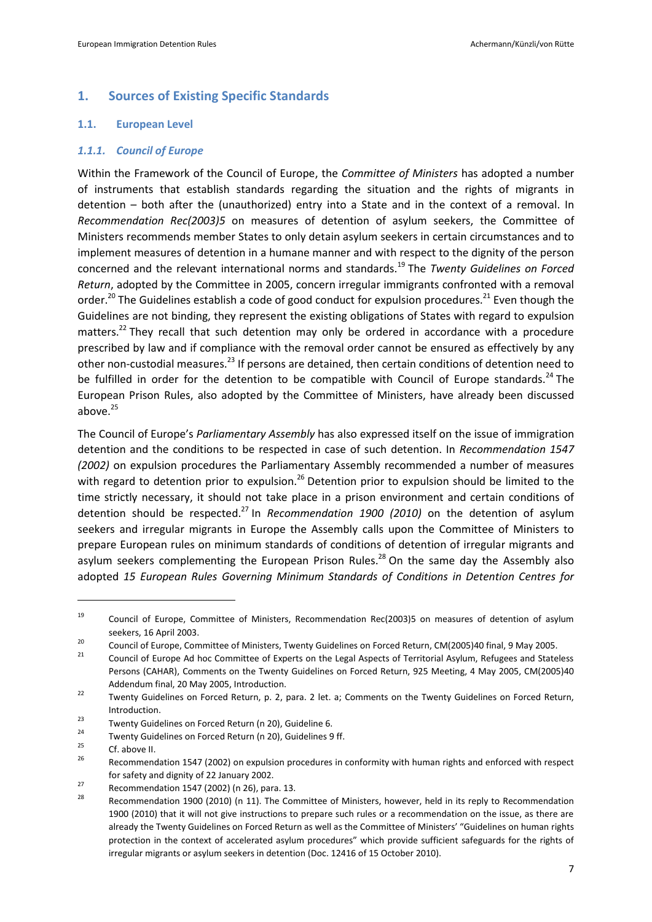## **1. Sources of Existing Specific Standards**

#### **1.1. European Level**

#### *1.1.1. Council of Europe*

<span id="page-6-0"></span>Within the Framework of the Council of Europe, the *Committee of Ministers* has adopted a number of instruments that establish standards regarding the situation and the rights of migrants in detention – both after the (unauthorized) entry into a State and in the context of a removal. In *Recommendation Rec(2003)5* on measures of detention of asylum seekers, the Committee of Ministers recommends member States to only detain asylum seekers in certain circumstances and to implement measures of detention in a humane manner and with respect to the dignity of the person concerned and the relevant international norms and standards.<sup>19</sup> The *Twenty Guidelines on Forced Return*, adopted by the Committee in 2005, concern irregular immigrants confronted with a removal order.<sup>20</sup> The Guidelines establish a code of good conduct for expulsion procedures.<sup>21</sup> Even though the Guidelines are not binding, they represent the existing obligations of States with regard to expulsion matters.<sup>22</sup> They recall that such detention may only be ordered in accordance with a procedure prescribed by law and if compliance with the removal order cannot be ensured as effectively by any other non-custodial measures.<sup>23</sup> If persons are detained, then certain conditions of detention need to be fulfilled in order for the detention to be compatible with Council of Europe standards.<sup>24</sup> The European Prison Rules, also adopted by the Committee of Ministers, have already been discussed above. $25$ 

<span id="page-6-1"></span>The Council of Europe's *Parliamentary Assembly* has also expressed itself on the issue of immigration detention and the conditions to be respected in case of such detention. In *Recommendation 1547 (2002)* on expulsion procedures the Parliamentary Assembly recommended a number of measures with regard to detention prior to expulsion.<sup>26</sup> Detention prior to expulsion should be limited to the time strictly necessary, it should not take place in a prison environment and certain conditions of detention should be respected.<sup>27</sup> In *Recommendation 1900 (2010)* on the detention of asylum seekers and irregular migrants in Europe the Assembly calls upon the Committee of Ministers to prepare European rules on minimum standards of conditions of detention of irregular migrants and asylum seekers complementing the European Prison Rules.<sup>28</sup> On the same day the Assembly also adopted *15 European Rules Governing Minimum Standards of Conditions in Detention Centres for* 

<span id="page-6-2"></span><sup>19</sup> Council of Europe, Committee of Ministers, Recommendation Rec(2003)5 on measures of detention of asylum seekers, 16 April 2003.

<sup>&</sup>lt;sup>20</sup> Council of Europe, Committee of Ministers, Twenty Guidelines on Forced Return, CM(2005)40 final, 9 May 2005.

<sup>21</sup> Council of Europe Ad hoc Committee of Experts on the Legal Aspects of Territorial Asylum, Refugees and Stateless Persons (CAHAR), Comments on the Twenty Guidelines on Forced Return, 925 Meeting, 4 May 2005, CM(2005)40 Addendum final, 20 May 2005, Introduction.

<sup>&</sup>lt;sup>22</sup> Twenty Guidelines on Forced Return, p. 2, para. 2 let. a; Comments on the Twenty Guidelines on Forced Return, Introduction.

<sup>23</sup> Twenty Guidelines on Forced Return (n [20\)](#page-6-0), Guideline 6.

<sup>&</sup>lt;sup>24</sup> Twenty Guidelines on Forced Return (n [20\)](#page-6-0), Guidelines 9 ff.

 $\frac{25}{26}$  Cf. abov[e II.](#page-4-2)

<sup>26</sup> Recommendation 1547 (2002) on expulsion procedures in conformity with human rights and enforced with respect for safety and dignity of 22 January 2002.

<sup>&</sup>lt;sup>27</sup> Recommendation 1547 (2002) (n [26\)](#page-6-1), para. 13.

Recommendation 1900 (2010) (n [11\)](#page-5-0). The Committee of Ministers, however, held in its reply to Recommendation 1900 (2010) that it will not give instructions to prepare such rules or a recommendation on the issue, as there are already the Twenty Guidelines on Forced Return as well as the Committee of Ministers' "Guidelines on human rights protection in the context of accelerated asylum procedures" which provide sufficient safeguards for the rights of irregular migrants or asylum seekers in detention (Doc. 12416 of 15 October 2010).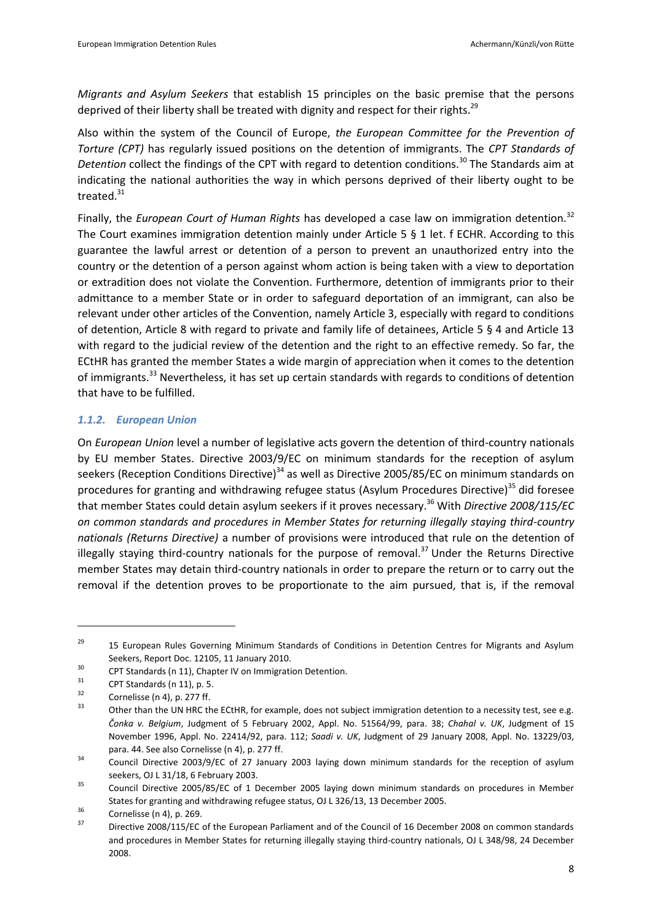<span id="page-7-1"></span>*Migrants and Asylum Seekers* that establish 15 principles on the basic premise that the persons deprived of their liberty shall be treated with dignity and respect for their rights.<sup>29</sup>

Also within the system of the Council of Europe, *the European Committee for the Prevention of Torture (CPT)* has regularly issued positions on the detention of immigrants. The *CPT Standards of Detention* collect the findings of the CPT with regard to detention conditions.<sup>30</sup> The Standards aim at indicating the national authorities the way in which persons deprived of their liberty ought to be treated.<sup>31</sup>

Finally, the *European Court of Human Rights* has developed a case law on immigration detention.<sup>32</sup> The Court examines immigration detention mainly under Article 5 § 1 let. f ECHR. According to this guarantee the lawful arrest or detention of a person to prevent an unauthorized entry into the country or the detention of a person against whom action is being taken with a view to deportation or extradition does not violate the Convention. Furthermore, detention of immigrants prior to their admittance to a member State or in order to safeguard deportation of an immigrant, can also be relevant under other articles of the Convention, namely Article 3, especially with regard to conditions of detention, Article 8 with regard to private and family life of detainees, Article 5 § 4 and Article 13 with regard to the judicial review of the detention and the right to an effective remedy. So far, the ECtHR has granted the member States a wide margin of appreciation when it comes to the detention of immigrants.<sup>33</sup> Nevertheless, it has set up certain standards with regards to conditions of detention that have to be fulfilled.

## <span id="page-7-0"></span>*1.1.2. European Union*

On *European Union* level a number of legislative acts govern the detention of third-country nationals by EU member States. Directive 2003/9/EC on minimum standards for the reception of asylum seekers (Reception Conditions Directive)<sup>34</sup> as well as Directive 2005/85/EC on minimum standards on procedures for granting and withdrawing refugee status (Asylum Procedures Directive)<sup>35</sup> did foresee that member States could detain asylum seekers if it proves necessary.<sup>36</sup> With *Directive 2008/115/EC on common standards and procedures in Member States for returning illegally staying third-country nationals (Returns Directive)* a number of provisions were introduced that rule on the detention of illegally staying third-country nationals for the purpose of removal.<sup>37</sup> Under the Returns Directive member States may detain third-country nationals in order to prepare the return or to carry out the removal if the detention proves to be proportionate to the aim pursued, that is, if the removal

<sup>&</sup>lt;sup>29</sup> 15 European Rules Governing Minimum Standards of Conditions in Detention Centres for Migrants and Asylum Seekers, Report Doc. 12105, 11 January 2010.

<sup>30</sup> CPT Standards ([n 11\)](#page-5-0), Chapter IV on Immigration Detention.

 $\frac{31}{32}$  CPT Standards ([n 11\)](#page-5-0), p. 5.

 $\frac{32}{33}$  Cornelisse ([n 4\)](#page-4-1), p. 277 ff.

<sup>33</sup> Other than the UN HRC the ECtHR, for example, does not subject immigration detention to a necessity test, see e.g*. Čonka v. Belgium*, Judgment of 5 February 2002, Appl. No. 51564/99, para. 38; *Chahal v. UK*, Judgment of 15 November 1996, Appl. No. 22414/92, para. 112; *Saadi v. UK*, Judgment of 29 January 2008, Appl. No. 13229/03, para. 44. See also Cornelisse ([n 4\)](#page-4-1), p. 277 ff.

 $34$  Council Directive 2003/9/EC of 27 January 2003 laying down minimum standards for the reception of asylum seekers, OJ L 31/18, 6 February 2003.

<sup>&</sup>lt;sup>35</sup> Council Directive 2005/85/EC of 1 December 2005 laying down minimum standards on procedures in Member States for granting and withdrawing refugee status, OJ L 326/13, 13 December 2005.

 $3^{36}$  Cornelisse ([n 4\)](#page-4-1), p. 269.

<sup>37</sup> Directive 2008/115/EC of the European Parliament and of the Council of 16 December 2008 on common standards and procedures in Member States for returning illegally staying third-country nationals, OJ L 348/98, 24 December 2008.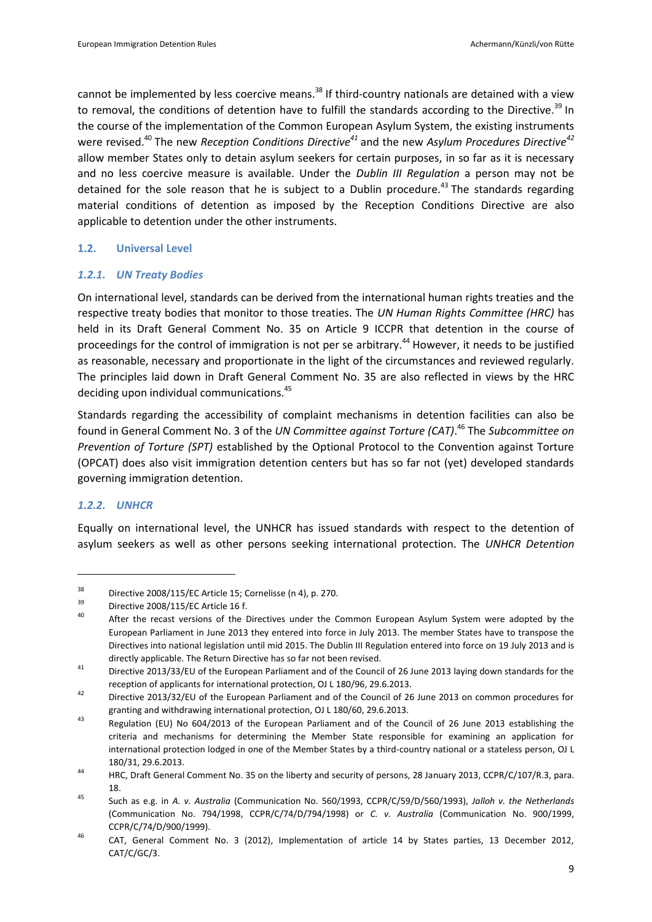cannot be implemented by less coercive means.<sup>38</sup> If third-country nationals are detained with a view to removal, the conditions of detention have to fulfill the standards according to the Directive.<sup>39</sup> In the course of the implementation of the Common European Asylum System, the existing instruments were revised.<sup>40</sup> The new *Reception Conditions Directive<sup>41</sup>* and the new *Asylum Procedures Directive<sup>42</sup>* allow member States only to detain asylum seekers for certain purposes, in so far as it is necessary and no less coercive measure is available. Under the *Dublin III Regulation* a person may not be detained for the sole reason that he is subject to a Dublin procedure.<sup>43</sup> The standards regarding material conditions of detention as imposed by the Reception Conditions Directive are also applicable to detention under the other instruments.

## **1.2. Universal Level**

## *1.2.1. UN Treaty Bodies*

On international level, standards can be derived from the international human rights treaties and the respective treaty bodies that monitor to those treaties. The *UN Human Rights Committee (HRC)* has held in its Draft General Comment No. 35 on Article 9 ICCPR that detention in the course of proceedings for the control of immigration is not per se arbitrary.<sup>44</sup> However, it needs to be justified as reasonable, necessary and proportionate in the light of the circumstances and reviewed regularly. The principles laid down in Draft General Comment No. 35 are also reflected in views by the HRC deciding upon individual communications.<sup>45</sup>

Standards regarding the accessibility of complaint mechanisms in detention facilities can also be found in General Comment No. 3 of the *UN Committee against Torture (CAT)*. <sup>46</sup> The *Subcommittee on Prevention of Torture (SPT)* established by the Optional Protocol to the Convention against Torture (OPCAT) does also visit immigration detention centers but has so far not (yet) developed standards governing immigration detention.

#### *1.2.2. UNHCR*

 $\overline{a}$ 

Equally on international level, the UNHCR has issued standards with respect to the detention of asylum seekers as well as other persons seeking international protection. The *UNHCR Detention* 

<sup>&</sup>lt;sup>38</sup> Directive 2008/115/EC Article 15; Cornelisse ([n 4\)](#page-4-1), p. 270.

 $^{39}$  Directive 2008/115/EC Article 16 f.

After the recast versions of the Directives under the Common European Asylum System were adopted by the European Parliament in June 2013 they entered into force in July 2013. The member States have to transpose the Directives into national legislation until mid 2015. The Dublin III Regulation entered into force on 19 July 2013 and is directly applicable. The Return Directive has so far not been revised.

<sup>41</sup> Directive 2013/33/EU of the European Parliament and of the Council of 26 June 2013 laying down standards for the reception of applicants for international protection, OJ L 180/96, 29.6.2013.

<sup>42</sup> Directive 2013/32/EU of the European Parliament and of the Council of 26 June 2013 on common procedures for granting and withdrawing international protection, OJ L 180/60, 29.6.2013.

<sup>43</sup> Regulation (EU) No 604/2013 of the European Parliament and of the Council of 26 June 2013 establishing the criteria and mechanisms for determining the Member State responsible for examining an application for international protection lodged in one of the Member States by a third-country national or a stateless person, OJ L 180/31, 29.6.2013.

<sup>44</sup> HRC, Draft General Comment No. 35 on the liberty and security of persons, 28 January 2013, CCPR/C/107/R.3, para. 18.

<sup>45</sup> Such as e.g. in *A. v. Australia* (Communication No. 560/1993, CCPR/C/59/D/560/1993), *Jalloh v. the Netherlands* (Communication No. 794/1998, CCPR/C/74/D/794/1998) or *C. v. Australia* (Communication No. 900/1999, CCPR/C/74/D/900/1999).

<sup>46</sup> CAT, General Comment No. 3 (2012), Implementation of article 14 by States parties, 13 December 2012, CAT/C/GC/3.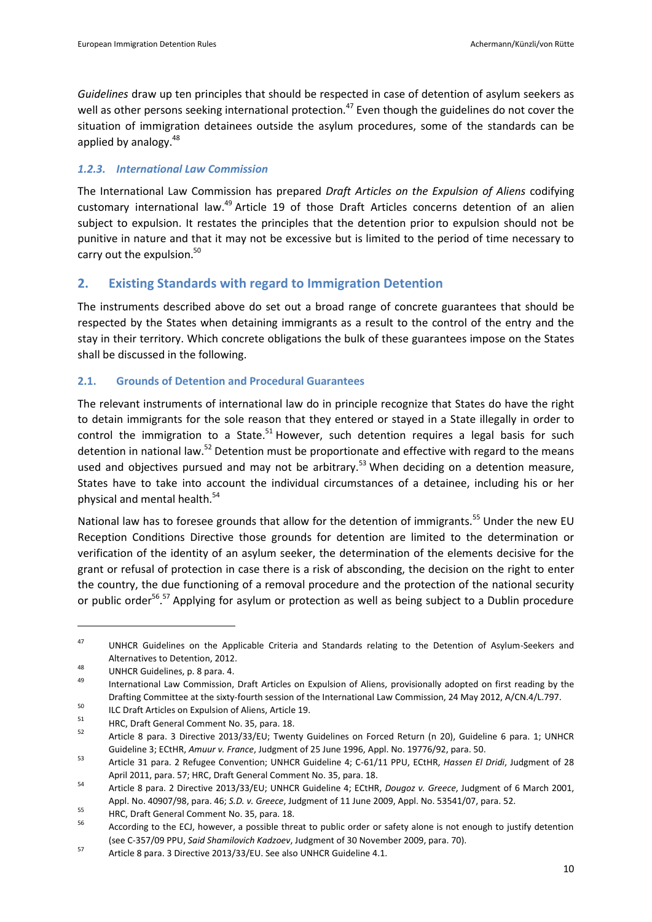*Guidelines* draw up ten principles that should be respected in case of detention of asylum seekers as well as other persons seeking international protection.<sup>47</sup> Even though the guidelines do not cover the situation of immigration detainees outside the asylum procedures, some of the standards can be applied by analogy.<sup>48</sup>

## *1.2.3. International Law Commission*

The International Law Commission has prepared *Draft Articles on the Expulsion of Aliens* codifying customary international law.<sup>49</sup> Article 19 of those Draft Articles concerns detention of an alien subject to expulsion. It restates the principles that the detention prior to expulsion should not be punitive in nature and that it may not be excessive but is limited to the period of time necessary to carry out the expulsion.<sup>50</sup>

# <span id="page-9-0"></span>**2. Existing Standards with regard to Immigration Detention**

The instruments described above do set out a broad range of concrete guarantees that should be respected by the States when detaining immigrants as a result to the control of the entry and the stay in their territory. Which concrete obligations the bulk of these guarantees impose on the States shall be discussed in the following.

## **2.1. Grounds of Detention and Procedural Guarantees**

The relevant instruments of international law do in principle recognize that States do have the right to detain immigrants for the sole reason that they entered or stayed in a State illegally in order to control the immigration to a State.<sup>51</sup> However, such detention requires a legal basis for such detention in national law.<sup>52</sup> Detention must be proportionate and effective with regard to the means used and objectives pursued and may not be arbitrary.<sup>53</sup> When deciding on a detention measure, States have to take into account the individual circumstances of a detainee, including his or her physical and mental health.<sup>54</sup>

<span id="page-9-2"></span>National law has to foresee grounds that allow for the detention of immigrants.<sup>55</sup> Under the new EU Reception Conditions Directive those grounds for detention are limited to the determination or verification of the identity of an asylum seeker, the determination of the elements decisive for the grant or refusal of protection in case there is a risk of absconding, the decision on the right to enter the country, the due functioning of a removal procedure and the protection of the national security or public order<sup>56</sup>.<sup>57</sup> Applying for asylum or protection as well as being subject to a Dublin procedure

<span id="page-9-1"></span><sup>&</sup>lt;sup>47</sup> UNHCR Guidelines on the Applicable Criteria and Standards relating to the Detention of Asylum-Seekers and Alternatives to Detention, 2012.

<sup>48</sup> UNHCR Guidelines, p. 8 para. 4.

International Law Commission, Draft Articles on Expulsion of Aliens, provisionally adopted on first reading by the Drafting Committee at the sixty-fourth session of the International Law Commission, 24 May 2012, A/CN.4/L.797.

<sup>&</sup>lt;sup>50</sup> ILC Draft Articles on Expulsion of Aliens, Article 19.

<sup>51</sup> HRC, Draft General Comment No. 35, para. 18.

<sup>52</sup> Article 8 para. 3 Directive 2013/33/EU; Twenty Guidelines on Forced Return (n [20\)](#page-6-0), Guideline 6 para. 1; UNHCR Guideline 3; ECtHR, *Amuur v. France*, Judgment of 25 June 1996, Appl. No. 19776/92, para. 50.

<sup>53</sup> Article 31 para. 2 Refugee Convention; UNHCR Guideline 4; C-61/11 PPU, ECtHR, *Hassen El Dridi*, Judgment of 28 April 2011, para. 57; HRC, Draft General Comment No. 35, para. 18.

<sup>54</sup> Article 8 para. 2 Directive 2013/33/EU; UNHCR Guideline 4; ECtHR, *Dougoz v. Greece*, Judgment of 6 March 2001, Appl. No. 40907/98, para. 46; *S.D. v. Greece*, Judgment of 11 June 2009, Appl. No. 53541/07, para. 52.

<sup>&</sup>lt;sup>55</sup> HRC, Draft General Comment No. 35, para. 18.

According to the ECJ, however, a possible threat to public order or safety alone is not enough to justify detention (see C-357/09 PPU, *Said Shamilovich Kadzoev*, Judgment of 30 November 2009, para. 70).

<sup>57</sup> Article 8 para. 3 Directive 2013/33/EU. See also UNHCR Guideline 4.1.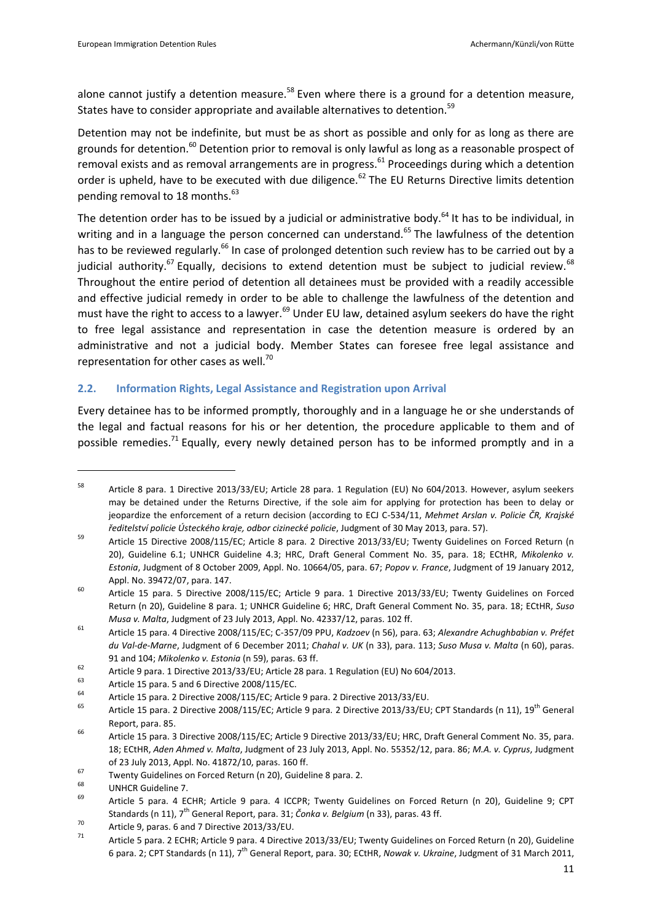<span id="page-10-1"></span>alone cannot justify a detention measure.<sup>58</sup> Even where there is a ground for a detention measure, States have to consider appropriate and available alternatives to detention.<sup>59</sup>

<span id="page-10-0"></span>Detention may not be indefinite, but must be as short as possible and only for as long as there are grounds for detention.<sup>60</sup> Detention prior to removal is only lawful as long as a reasonable prospect of removal exists and as removal arrangements are in progress.<sup>61</sup> Proceedings during which a detention order is upheld, have to be executed with due diligence.<sup>62</sup> The EU Returns Directive limits detention pending removal to 18 months.<sup>63</sup>

<span id="page-10-2"></span>The detention order has to be issued by a judicial or administrative body.<sup>64</sup> It has to be individual, in writing and in a language the person concerned can understand.<sup>65</sup> The lawfulness of the detention has to be reviewed regularly.<sup>66</sup> In case of prolonged detention such review has to be carried out by a judicial authority.<sup>67</sup> Equally, decisions to extend detention must be subject to judicial review.<sup>68</sup> Throughout the entire period of detention all detainees must be provided with a readily accessible and effective judicial remedy in order to be able to challenge the lawfulness of the detention and must have the right to access to a lawyer.<sup>69</sup> Under EU law, detained asylum seekers do have the right to free legal assistance and representation in case the detention measure is ordered by an administrative and not a judicial body. Member States can foresee free legal assistance and representation for other cases as well.<sup>70</sup>

## **2.2. Information Rights, Legal Assistance and Registration upon Arrival**

Every detainee has to be informed promptly, thoroughly and in a language he or she understands of the legal and factual reasons for his or her detention, the procedure applicable to them and of possible remedies.<sup>71</sup> Equally, every newly detained person has to be informed promptly and in a

<sup>58</sup> Article 8 para. 1 Directive 2013/33/EU; Article 28 para. 1 Regulation (EU) No 604/2013. However, asylum seekers may be detained under the Returns Directive, if the sole aim for applying for protection has been to delay or jeopardize the enforcement of a return decision (according to ECJ C-534/11, *Mehmet Arslan v. Policie ČR, Krajské ředitelství policie Ústeckého kraje, odbor cizinecké policie*, Judgment of 30 May 2013, para. 57).

<sup>59</sup> Article 15 Directive 2008/115/EC; Article 8 para. 2 Directive 2013/33/EU; Twenty Guidelines on Forced Return (n [20\)](#page-6-0), Guideline 6.1; UNHCR Guideline 4.3; HRC, Draft General Comment No. 35, para. 18; ECtHR, *Mikolenko v. Estonia*, Judgment of 8 October 2009, Appl. No. 10664/05, para. 67; *Popov v. France*, Judgment of 19 January 2012, Appl. No. 39472/07, para. 147.

<sup>&</sup>lt;sup>60</sup> Article 15 para. 5 Directive 2008/115/EC; Article 9 para. 1 Directive 2013/33/EU; Twenty Guidelines on Forced Return ([n 20\)](#page-6-0), Guideline 8 para. 1; UNHCR Guideline 6; HRC, Draft General Comment No. 35, para. 18; ECtHR, *Suso Musa v. Malta*, Judgment of 23 July 2013, Appl. No. 42337/12, paras. 102 ff.

<sup>61</sup> Article 15 para. 4 Directive 2008/115/EC; C-357/09 PPU, *Kadzoev* ([n 56\)](#page-9-1), para. 63; *Alexandre Achughbabian v. Préfet du Val-de-Marne*, Judgment of 6 December 2011; *Chahal v. UK* (n [33\)](#page-7-0), para. 113; *Suso Musa v. Malta* ([n 60\)](#page-10-0), paras. 91 and 104; *Mikolenko v. Estonia* ([n 59\)](#page-10-1), paras. 63 ff.

For a parallel para. 1 Directive 2013/33/EU; Article 28 para. 1 Regulation (EU) No 604/2013.

 $^{63}$  Article 15 para. 5 and 6 Directive 2008/115/EC.

<sup>&</sup>lt;sup>64</sup> Article 15 para. 2 Directive 2008/115/EC; Article 9 para. 2 Directive 2013/33/EU.<br><sup>65</sup> Article 45 para. 2 Directive 2009/145/EC, Article 9 para. 2 Directive 2013/33/EU.

Article 15 para. 2 Directive 2008/115/EC; Article 9 para. 2 Directive 2013/33/EU; CPT Standards ([n 11\)](#page-5-0), 19<sup>th</sup> General Report, para. 85.

<sup>&</sup>lt;sup>66</sup> Article 15 para. 3 Directive 2008/115/EC; Article 9 Directive 2013/33/EU; HRC, Draft General Comment No. 35, para. 18; ECtHR, *Aden Ahmed v. Malta*, Judgment of 23 July 2013, Appl. No. 55352/12, para. 86; *M.A. v. Cyprus*, Judgment of 23 July 2013, Appl. No. 41872/10, paras. 160 ff.

 $\frac{67}{100}$  Twenty Guidelines on Forced Return (n [20\)](#page-6-0), Guideline 8 para. 2.

 $^{68}$  UNHCR Guideline 7.

<sup>69</sup> Article 5 para. 4 ECHR; Article 9 para. 4 ICCPR; Twenty Guidelines on Forced Return (n [20\)](#page-6-0), Guideline 9; CPT Standards ([n 11\)](#page-5-0), 7<sup>th</sup> General Report, para. 31; *Čonka v. Belgium* ([n 33\)](#page-7-0), paras. 43 ff.

 $70$  Article 9, paras. 6 and 7 Directive 2013/33/EU.

Article 5 para. 2 ECHR; Article 9 para. 4 Directive 2013/33/EU; Twenty Guidelines on Forced Return ([n 20\)](#page-6-0), Guideline 6 para. 2; CPT Standards (n [11\),](#page-5-0) 7th General Report, para. 30; ECtHR, *Nowak v. Ukraine*, Judgment of 31 March 2011,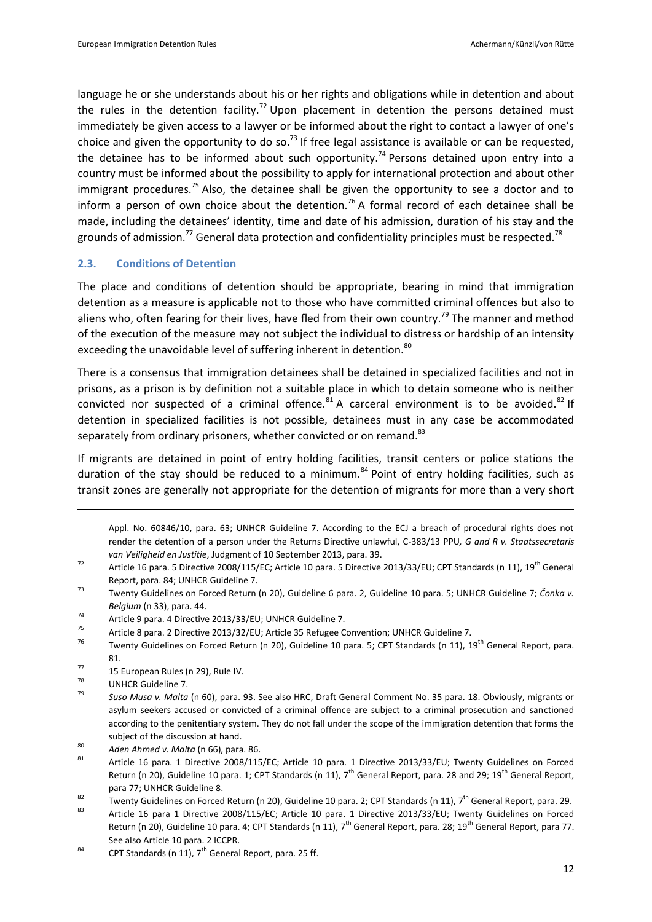language he or she understands about his or her rights and obligations while in detention and about the rules in the detention facility.<sup>72</sup> Upon placement in detention the persons detained must immediately be given access to a lawyer or be informed about the right to contact a lawyer of one's choice and given the opportunity to do so.<sup>73</sup> If free legal assistance is available or can be requested, the detainee has to be informed about such opportunity.<sup>74</sup> Persons detained upon entry into a country must be informed about the possibility to apply for international protection and about other immigrant procedures.<sup>75</sup> Also, the detainee shall be given the opportunity to see a doctor and to inform a person of own choice about the detention.<sup>76</sup> A formal record of each detainee shall be made, including the detainees' identity, time and date of his admission, duration of his stay and the grounds of admission.<sup>77</sup> General data protection and confidentiality principles must be respected.<sup>78</sup>

#### **2.3. Conditions of Detention**

The place and conditions of detention should be appropriate, bearing in mind that immigration detention as a measure is applicable not to those who have committed criminal offences but also to aliens who, often fearing for their lives, have fled from their own country.<sup>79</sup> The manner and method of the execution of the measure may not subject the individual to distress or hardship of an intensity exceeding the unavoidable level of suffering inherent in detention.<sup>80</sup>

There is a consensus that immigration detainees shall be detained in specialized facilities and not in prisons, as a prison is by definition not a suitable place in which to detain someone who is neither convicted nor suspected of a criminal offence.  $81$  A carceral environment is to be avoided.  $82$  If detention in specialized facilities is not possible, detainees must in any case be accommodated separately from ordinary prisoners, whether convicted or on remand.<sup>83</sup>

If migrants are detained in point of entry holding facilities, transit centers or police stations the duration of the stay should be reduced to a minimum.<sup>84</sup> Point of entry holding facilities, such as transit zones are generally not appropriate for the detention of migrants for more than a very short

Appl. No. 60846/10, para. 63; UNHCR Guideline 7. According to the ECJ a breach of procedural rights does not render the detention of a person under the Returns Directive unlawful, C-383/13 PPU*, G and R v. Staatssecretaris van Veiligheid en Justitie*, Judgment of 10 September 2013, para. 39.

- <sup>72</sup> Article 16 para. 5 Directive 2008/115/EC; Article 10 para. 5 Directive 2013/33/EU; CPT Standards (n [11\)](#page-5-0), 19<sup>th</sup> General Report, para. 84; UNHCR Guideline 7.
- <sup>73</sup> Twenty Guidelines on Forced Return (n [20\)](#page-6-0), Guideline 6 para. 2, Guideline 10 para. 5; UNHCR Guideline 7; *Čonka v. Belgium* ([n 33\)](#page-7-0), para. 44.
- <sup>74</sup> Article 9 para. 4 Directive 2013/33/EU; UNHCR Guideline 7.
- <sup>75</sup> Article 8 para. 2 Directive 2013/32/EU; Article 35 Refugee Convention; UNHCR Guideline 7.<br><sup>76</sup> Turenty Cuidelines on Forsed Beturn (n. 20). Cuideline 10 para. E: CBT Standards (n. 11). 1
- Twenty Guidelines on Forced Return (n [20\)](#page-6-0), Guideline 10 para. 5; CPT Standards (n [11\)](#page-5-0), 19<sup>th</sup> General Report, para. 81.
- $\frac{77}{78}$  15 European Rules (n [29\)](#page-7-1), Rule IV.
- $\frac{78}{79}$  UNHCR Guideline 7.

- <sup>79</sup> *Suso Musa v. Malta* (n [60\)](#page-10-0), para. 93. See also HRC, Draft General Comment No. 35 para. 18. Obviously, migrants or asylum seekers accused or convicted of a criminal offence are subject to a criminal prosecution and sanctioned according to the penitentiary system. They do not fall under the scope of the immigration detention that forms the subject of the discussion at hand.
- <sup>80</sup> *Aden Ahmed v. Malta* (n [66\)](#page-10-2), para. 86.
- <sup>81</sup> Article 16 para. 1 Directive 2008/115/EC; Article 10 para. 1 Directive 2013/33/EU; Twenty Guidelines on Forced Return (n [20\)](#page-6-0), Guideline 10 para. 1; CPT Standards (n [11\)](#page-5-0),  $7^{th}$  General Report, para. 28 and 29; 19<sup>th</sup> General Report, para 77; UNHCR Guideline 8.

- <sup>83</sup> Article 16 para 1 Directive 2008/115/EC; Article 10 para. 1 Directive 2013/33/EU; Twenty Guidelines on Forced Return (n [20\)](#page-6-0), Guideline 10 para. 4; CPT Standards ([n 11\)](#page-5-0), 7<sup>th</sup> General Report, para. 28; 19<sup>th</sup> General Report, para 77. See also Article 10 para. 2 ICCPR.
- 84 CPT Standards ([n 11\)](#page-5-0),  $7^{th}$  General Report, para. 25 ff.

<sup>&</sup>lt;sup>82</sup> Twenty Guidelines on Forced Return (n [20\)](#page-6-0), Guideline 10 para. 2; CPT Standards ([n 11\)](#page-5-0), 7<sup>th</sup> General Report, para. 29.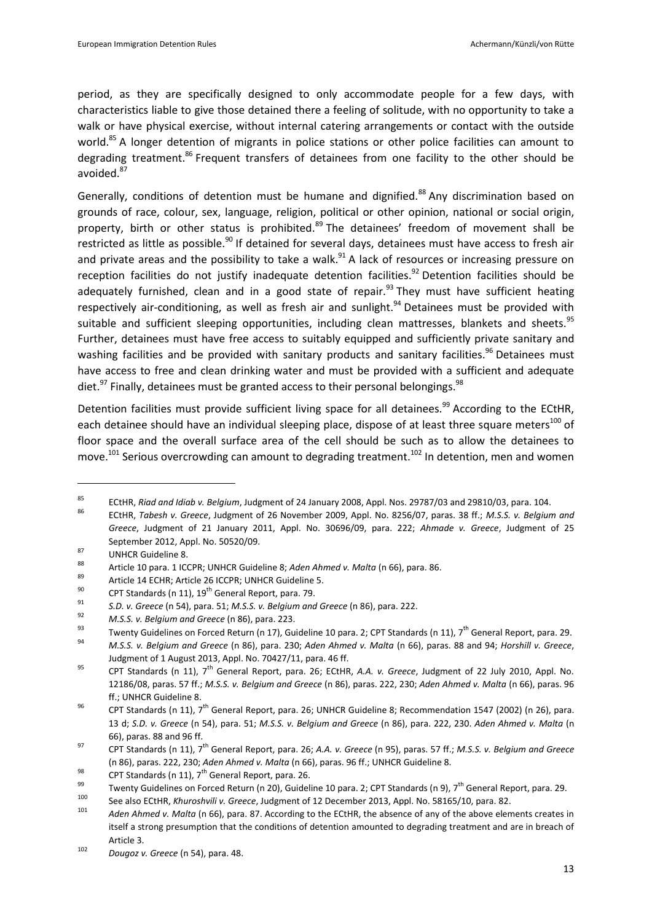period, as they are specifically designed to only accommodate people for a few days, with characteristics liable to give those detained there a feeling of solitude, with no opportunity to take a walk or have physical exercise, without internal catering arrangements or contact with the outside world.<sup>85</sup> A longer detention of migrants in police stations or other police facilities can amount to degrading treatment.<sup>86</sup> Frequent transfers of detainees from one facility to the other should be avoided.<sup>87</sup>

<span id="page-12-0"></span>Generally, conditions of detention must be humane and dignified.<sup>88</sup> Any discrimination based on grounds of race, colour, sex, language, religion, political or other opinion, national or social origin, property, birth or other status is prohibited.<sup>89</sup> The detainees' freedom of movement shall be restricted as little as possible.<sup>90</sup> If detained for several days, detainees must have access to fresh air and private areas and the possibility to take a walk.<sup>91</sup> A lack of resources or increasing pressure on reception facilities do not justify inadequate detention facilities.<sup>92</sup> Detention facilities should be adequately furnished, clean and in a good state of repair.<sup>93</sup> They must have sufficient heating respectively air-conditioning, as well as fresh air and sunlight.<sup>94</sup> Detainees must be provided with suitable and sufficient sleeping opportunities, including clean mattresses, blankets and sheets.<sup>95</sup> Further, detainees must have free access to suitably equipped and sufficiently private sanitary and washing facilities and be provided with sanitary products and sanitary facilities.<sup>96</sup> Detainees must have access to free and clean drinking water and must be provided with a sufficient and adequate diet.<sup>97</sup> Finally, detainees must be granted access to their personal belongings.<sup>98</sup>

<span id="page-12-1"></span>Detention facilities must provide sufficient living space for all detainees.<sup>99</sup> According to the ECtHR, each detainee should have an individual sleeping place, dispose of at least three square meters<sup>100</sup> of floor space and the overall surface area of the cell should be such as to allow the detainees to move.<sup>101</sup> Serious overcrowding can amount to degrading treatment.<sup>102</sup> In detention, men and women

<sup>85</sup> ECtHR, *Riad and Idiab v. Belgium*, Judgment of 24 January 2008, Appl. Nos. 29787/03 and 29810/03, para. 104.

<sup>86</sup> ECtHR, *Tabesh v. Greece*, Judgment of 26 November 2009, Appl. No. 8256/07, paras. 38 ff.; *M.S.S. v. Belgium and Greece*, Judgment of 21 January 2011, Appl. No. 30696/09, para. 222; *Ahmade v. Greece*, Judgment of 25 September 2012, Appl. No. 50520/09.

 $87$  UNHCR Guideline 8.

<sup>88</sup> Article 10 para. 1 ICCPR; UNHCR Guideline 8; *Aden Ahmed v. Malta* ([n 66\)](#page-10-2), para. 86.

<sup>&</sup>lt;sup>89</sup> Article 14 ECHR; Article 26 ICCPR; UNHCR Guideline 5.<br><sup>90</sup> CPT Standards (a.11), 10<sup>th</sup> General Banart, pare, 70.

<sup>&</sup>lt;sup>90</sup> CPT Standards ([n 11\)](#page-5-0),  $19^{th}$  General Report, para. 79.

<sup>91</sup> *S.D. v. Greece* ([n 54\)](#page-9-2), para. 51; *M.S.S. v. Belgium and Greece* ([n 86\)](#page-12-0), para. 222.

<sup>92</sup> *M.S.S. v. Belgium and Greece* ([n 86\)](#page-12-0), para. 223.

<sup>93</sup> Twenty Guidelines on Forced Return (n 17), Guideline 10 para. 2; CPT Standards ([n 11\)](#page-5-0),  $7^{th}$  General Report, para. 29.<br>94 March Guidelines and Greece (n 96), para. 230. Adres Almedia Markt, (n 66), paras. 29. and 94.

<sup>94</sup> *M.S.S. v. Belgium and Greece* (n [86\)](#page-12-0), para. 230; *Aden Ahmed v. Malta* ([n 66\)](#page-10-2), paras. 88 and 94; *Horshill v. Greece*, Judgment of 1 August 2013, Appl. No. 70427/11, para. 46 ff.

<sup>95</sup> CPT Standards (n [11\)](#page-5-0), 7th General Report, para. 26; ECtHR, *A.A. v. Greece*, Judgment of 22 July 2010, Appl. No. 12186/08, paras. 57 ff.; *M.S.S. v. Belgium and Greece* (n [86\)](#page-12-0), paras. 222, 230; *Aden Ahmed v. Malta* ([n 66\)](#page-10-2), paras. 96 ff.; UNHCR Guideline 8.

<sup>&</sup>lt;sup>96</sup> CPT Standards (n [11\)](#page-5-0), 7<sup>th</sup> General Report, para. 26; UNHCR Guideline 8; Recommendation 1547 (2002) (n [26\)](#page-6-1), para. 13 d; *S.D. v. Greece* (n [54\)](#page-9-2), para. 51; *M.S.S. v. Belgium and Greece* (n [86\)](#page-12-0), para. 222, 230. *Aden Ahmed v. Malta* (n [66\)](#page-10-2), paras. 88 and 96 ff.

<sup>97</sup> CPT Standards (n [11\)](#page-5-0), 7th General Report, para. 26; *A.A. v. Greece* (n [95\)](#page-12-1), paras. 57 ff.; *M.S.S. v. Belgium and Greece* ([n 86\)](#page-12-0), paras. 222, 230; *Aden Ahmed v. Malta* (n [66\)](#page-10-2), paras. 96 ff.; UNHCR Guideline 8.

<sup>98</sup> CPT Standards ([n 11\)](#page-5-0),  $7^{\text{th}}$  General Report, para. 26.

<sup>&</sup>lt;sup>99</sup> Twenty Guidelines on Forced Return (n [20\)](#page-6-0), Guideline 10 para. 2; CPT Standards (n 9), 7<sup>th</sup> General Report, para. 29.

<sup>100</sup> See also ECtHR, *Khuroshvili v. Greece*, Judgment of 12 December 2013, Appl. No. 58165/10, para. 82.

Aden Ahmed v. Malta (n [66\)](#page-10-2), para. 87. According to the ECtHR, the absence of any of the above elements creates in itself a strong presumption that the conditions of detention amounted to degrading treatment and are in breach of Article 3.

<sup>102</sup> *Dougoz v. Greece* ([n 54\)](#page-9-2), para. 48.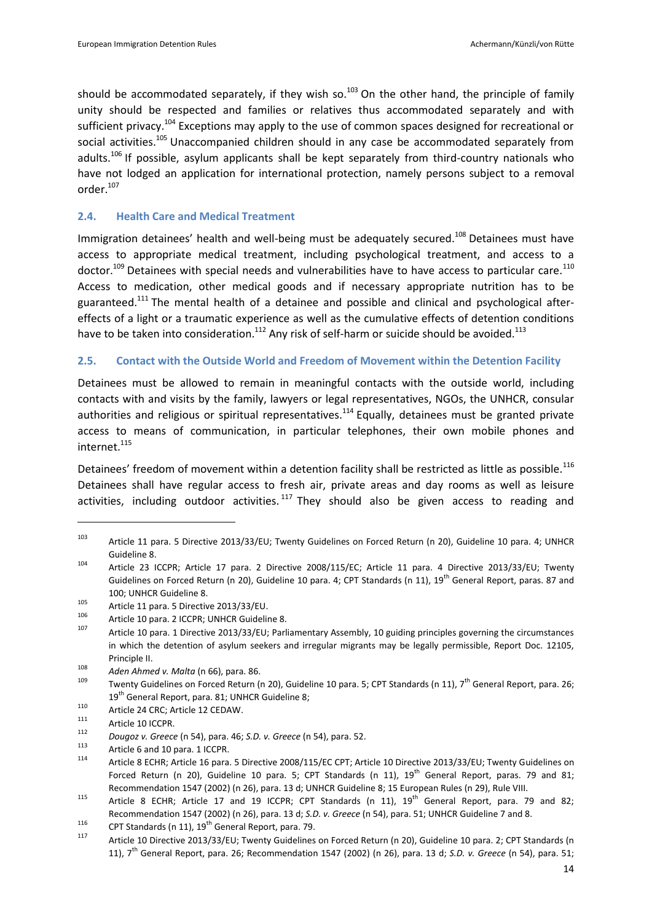should be accommodated separately, if they wish so.<sup>103</sup> On the other hand, the principle of family unity should be respected and families or relatives thus accommodated separately and with sufficient privacy.<sup>104</sup> Exceptions may apply to the use of common spaces designed for recreational or social activities.<sup>105</sup> Unaccompanied children should in any case be accommodated separately from adults.<sup>106</sup> If possible, asylum applicants shall be kept separately from third-country nationals who have not lodged an application for international protection, namely persons subject to a removal order.<sup>107</sup>

## **2.4. Health Care and Medical Treatment**

Immigration detainees' health and well-being must be adequately secured.<sup>108</sup> Detainees must have access to appropriate medical treatment, including psychological treatment, and access to a doctor.<sup>109</sup> Detainees with special needs and vulnerabilities have to have access to particular care.<sup>110</sup> Access to medication, other medical goods and if necessary appropriate nutrition has to be guaranteed.<sup>111</sup> The mental health of a detainee and possible and clinical and psychological aftereffects of a light or a traumatic experience as well as the cumulative effects of detention conditions have to be taken into consideration.<sup>112</sup> Any risk of self-harm or suicide should be avoided.<sup>113</sup>

## **2.5. Contact with the Outside World and Freedom of Movement within the Detention Facility**

Detainees must be allowed to remain in meaningful contacts with the outside world, including contacts with and visits by the family, lawyers or legal representatives, NGOs, the UNHCR, consular authorities and religious or spiritual representatives.<sup>114</sup> Equally, detainees must be granted private access to means of communication, in particular telephones, their own mobile phones and internet.<sup>115</sup>

Detainees' freedom of movement within a detention facility shall be restricted as little as possible.<sup>116</sup> Detainees shall have regular access to fresh air, private areas and day rooms as well as leisure activities, including outdoor activities.  $117$  They should also be given access to reading and

<sup>103</sup> Article 11 para. 5 Directive 2013/33/EU; Twenty Guidelines on Forced Return (n [20\)](#page-6-0), Guideline 10 para. 4; UNHCR Guideline 8.

<sup>104</sup> Article 23 ICCPR; Article 17 para. 2 Directive 2008/115/EC; Article 11 para. 4 Directive 2013/33/EU; Twenty Guidelines on Forced Return (n [20\)](#page-6-0), Guideline 10 para. 4; CPT Standards (n [11\)](#page-5-0), 19<sup>th</sup> General Report, paras. 87 and 100; UNHCR Guideline 8.

<sup>&</sup>lt;sup>105</sup> Article 11 para. 5 Directive 2013/33/EU.

<sup>&</sup>lt;sup>106</sup> Article 10 para. 2 ICCPR; UNHCR Guideline 8.

Article 10 para. 1 Directive 2013/33/EU; Parliamentary Assembly, 10 guiding principles governing the circumstances in which the detention of asylum seekers and irregular migrants may be legally permissible, Report Doc. 12105, Principle II.

<sup>108</sup> *Aden Ahmed v. Malta* (n [66\)](#page-10-2), para. 86.

Twenty Guidelines on Forced Return ([n 20\)](#page-6-0), Guideline 10 para. 5; CPT Standards ([n 11\)](#page-5-0), 7<sup>th</sup> General Report, para. 26; 19<sup>th</sup> General Report, para. 81; UNHCR Guideline 8;

<sup>110</sup> Article 24 CRC; Article 12 CEDAW.

Article 10 ICCPR.

<sup>112</sup> *Dougoz v. Greece* ([n 54\)](#page-9-2), para. 46; *S.D. v. Greece* ([n 54\)](#page-9-2), para. 52.

<sup>&</sup>lt;sup>113</sup> Article 6 and 10 para. 1 ICCPR.<br><sup>114</sup> Article 8 ECHB: Article 16 para.

Article 8 ECHR; Article 16 para. 5 Directive 2008/115/EC CPT; Article 10 Directive 2013/33/EU; Twenty Guidelines on Forced Return (n [20\)](#page-6-0), Guideline 10 para. 5; CPT Standards (n [11\)](#page-5-0), 19<sup>th</sup> General Report, paras. 79 and 81; Recommendation 1547 (2002) (n [26\)](#page-6-1), para. 13 d; UNHCR Guideline 8; 15 European Rules (n [29\)](#page-7-1), Rule VIII.

<sup>&</sup>lt;sup>115</sup> Article 8 ECHR; Article 17 and 19 ICCPR; CPT Standards (n [11\)](#page-5-0), 19<sup>th</sup> General Report, para. 79 and 82; Recommendation 1547 (2002) (n [26\)](#page-6-1), para. 13 d; *S.D. v. Greece* ([n 54\)](#page-9-2), para. 51; UNHCR Guideline 7 and 8.

<sup>116</sup> CPT Standards ([n 11\)](#page-5-0),  $19^{th}$  General Report, para. 79.

Article 10 Directive 2013/33/EU; Twenty Guidelines on Forced Return (n [20\)](#page-6-0), Guideline 10 para. 2; CPT Standards (n [11\)](#page-5-0), 7th General Report, para. 26; Recommendation 1547 (2002) (n [26\)](#page-6-1), para. 13 d; *S.D. v. Greece* ([n 54\)](#page-9-2), para. 51;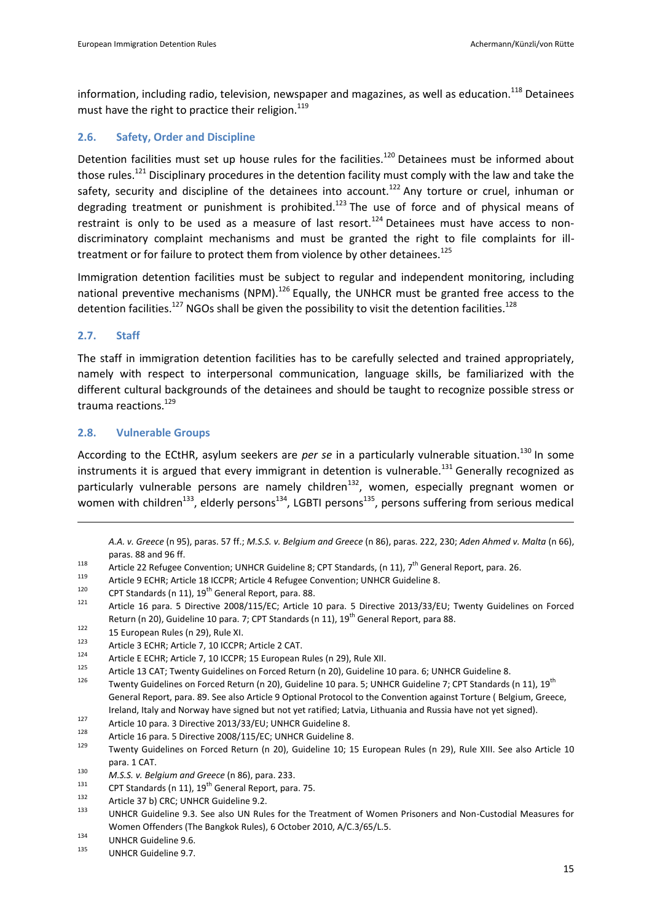information, including radio, television, newspaper and magazines, as well as education.<sup>118</sup> Detainees must have the right to practice their religion. $119$ 

## **2.6. Safety, Order and Discipline**

Detention facilities must set up house rules for the facilities.<sup>120</sup> Detainees must be informed about those rules.<sup>121</sup> Disciplinary procedures in the detention facility must comply with the law and take the safety, security and discipline of the detainees into account.<sup>122</sup> Any torture or cruel, inhuman or degrading treatment or punishment is prohibited.<sup>123</sup> The use of force and of physical means of restraint is only to be used as a measure of last resort.<sup>124</sup> Detainees must have access to nondiscriminatory complaint mechanisms and must be granted the right to file complaints for illtreatment or for failure to protect them from violence by other detainees.<sup>125</sup>

Immigration detention facilities must be subject to regular and independent monitoring, including national preventive mechanisms (NPM).<sup>126</sup> Equally, the UNHCR must be granted free access to the detention facilities.<sup>127</sup> NGOs shall be given the possibility to visit the detention facilities.<sup>128</sup>

## **2.7. Staff**

 $\overline{a}$ 

The staff in immigration detention facilities has to be carefully selected and trained appropriately, namely with respect to interpersonal communication, language skills, be familiarized with the different cultural backgrounds of the detainees and should be taught to recognize possible stress or trauma reactions.<sup>129</sup>

## **2.8. Vulnerable Groups**

According to the ECtHR, asylum seekers are *per se* in a particularly vulnerable situation.<sup>130</sup> In some instruments it is argued that every immigrant in detention is vulnerable.<sup>131</sup> Generally recognized as particularly vulnerable persons are namely children<sup>132</sup>, women, especially pregnant women or women with children<sup>133</sup>, elderly persons<sup>134</sup>, LGBTI persons<sup>135</sup>, persons suffering from serious medical

<span id="page-14-0"></span>*A.A. v. Greece* ([n 95\)](#page-12-1), paras. 57 ff.; *M.S.S. v. Belgium and Greece* ([n 86\)](#page-12-0), paras. 222, 230; *Aden Ahmed v. Malta* ([n 66\)](#page-10-2), paras. 88 and 96 ff.

- 118 Article 22 Refugee Convention; UNHCR Guideline 8; CPT Standards, ([n 11\)](#page-5-0),  $7^{th}$  General Report, para. 26.
- 119 Article 9 ECHR; Article 18 ICCPR; Article 4 Refugee Convention; UNHCR Guideline 8.<br>120 CPT Standards (p. 11), 10<sup>th</sup> Concrel Bonest, para. 88
- <sup>120</sup> CPT Standards ([n 11\)](#page-5-0),  $19<sup>th</sup>$  General Report, para. 88.
- <sup>121</sup> Article 16 para. 5 Directive 2008/115/EC; Article 10 para. 5 Directive 2013/33/EU; Twenty Guidelines on Forced Return (n [20\)](#page-6-0), Guideline 10 para. 7; CPT Standards (n [11\)](#page-5-0), 19<sup>th</sup> General Report, para 88.
- $122$  15 European Rules (n [29\)](#page-7-1), Rule XI.<br> $123$  Article 2 ECHB: Article 7, 10 ICCDB.
- <sup>123</sup> Article 3 ECHR; Article 7, 10 ICCPR; Article 2 CAT.
- <sup>124</sup> Article E ECHR; Article 7, 10 ICCPR; 15 European Rules (n [29\)](#page-7-1), Rule XII.
- <sup>125</sup> Article 13 CAT; Twenty Guidelines on Forced Return (n [20\)](#page-6-0), Guideline 10 para. 6; UNHCR Guideline 8.
- Twenty Guidelines on Forced Return (n [20\)](#page-6-0), Guideline 10 para. 5; UNHCR Guideline 7; CPT Standards ([n 11\)](#page-5-0), 19<sup>th</sup> General Report, para. 89. See also Article 9 Optional Protocol to the Convention against Torture ( Belgium, Greece, Ireland, Italy and Norway have signed but not yet ratified; Latvia, Lithuania and Russia have not yet signed).
- <sup>127</sup> Article 10 para. 3 Directive 2013/33/EU; UNHCR Guideline 8.
- <sup>128</sup> Article 16 para. 5 Directive 2008/115/EC; UNHCR Guideline 8.
- Twenty Guidelines on Forced Return (n [20\)](#page-6-0), Guideline 10; 15 European Rules (n [29\)](#page-7-1), Rule XIII. See also Article 10 para. 1 CAT.

<sup>131</sup> CPT Standards ([n 11\)](#page-5-0),  $19^{th}$  General Report, para. 75.

<sup>130</sup> *M.S.S. v. Belgium and Greece* ([n 86\)](#page-12-0), para. 233.

 $132$  Article 37 b) CRC; UNHCR Guideline 9.2.

UNHCR Guideline 9.3. See also UN Rules for the Treatment of Women Prisoners and Non-Custodial Measures for Women Offenders (The Bangkok Rules), 6 October 2010, A/C.3/65/L.5.

 $134$  UNHCR Guideline 9.6.

UNHCR Guideline 9.7.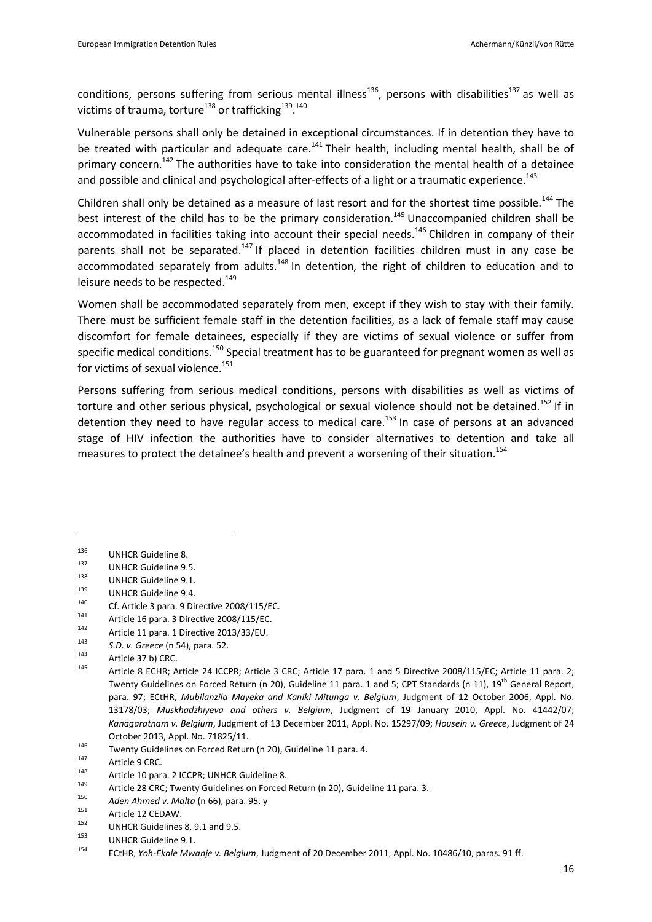conditions, persons suffering from serious mental illness<sup>136</sup>, persons with disabilities<sup>137</sup> as well as victims of trauma, torture<sup>138</sup> or trafficking<sup>139</sup>.<sup>140</sup>

Vulnerable persons shall only be detained in exceptional circumstances. If in detention they have to be treated with particular and adequate care.<sup>141</sup> Their health, including mental health, shall be of primary concern.<sup>142</sup> The authorities have to take into consideration the mental health of a detainee and possible and clinical and psychological after-effects of a light or a traumatic experience.<sup>143</sup>

<span id="page-15-0"></span>Children shall only be detained as a measure of last resort and for the shortest time possible.<sup>144</sup> The best interest of the child has to be the primary consideration.<sup>145</sup> Unaccompanied children shall be accommodated in facilities taking into account their special needs.<sup>146</sup> Children in company of their parents shall not be separated.<sup>147</sup> If placed in detention facilities children must in any case be accommodated separately from adults.<sup>148</sup> In detention, the right of children to education and to leisure needs to be respected.<sup>149</sup>

Women shall be accommodated separately from men, except if they wish to stay with their family. There must be sufficient female staff in the detention facilities, as a lack of female staff may cause discomfort for female detainees, especially if they are victims of sexual violence or suffer from specific medical conditions.<sup>150</sup> Special treatment has to be guaranteed for pregnant women as well as for victims of sexual violence.<sup>151</sup>

Persons suffering from serious medical conditions, persons with disabilities as well as victims of torture and other serious physical, psychological or sexual violence should not be detained.<sup>152</sup> If in detention they need to have regular access to medical care.<sup>153</sup> In case of persons at an advanced stage of HIV infection the authorities have to consider alternatives to detention and take all measures to protect the detainee's health and prevent a worsening of their situation.<sup>154</sup>

 $\overline{a}$ 

<sup>142</sup> Article 11 para. 1 Directive 2013/33/EU.<br><sup>143</sup> S.D. *v. Greece (n. 54)*, para. 52.

 $136$  UNHCR Guideline 8.

 $^{137}$  UNHCR Guideline 9.5.<br> $^{138}$  UNUER Guideline 9.4

 $^{138}$  UNHCR Guideline 9.1.<br> $^{139}$  UNUCR Cuideline 9.4

 $^{139}$  UNHCR Guideline 9.4.

<sup>&</sup>lt;sup>140</sup> Cf. Article 3 para. 9 Directive 2008/115/EC.

<sup>&</sup>lt;sup>141</sup> Article 16 para. 3 Directive 2008/115/EC.

<sup>143</sup> *S.D. v. Greece* ([n 54\)](#page-9-2), para. 52.

 $144$  Article 37 b) CRC.

Article 8 ECHR; Article 24 ICCPR; Article 3 CRC; Article 17 para. 1 and 5 Directive 2008/115/EC; Article 11 para. 2; Twenty Guidelines on Forced Return (n [20\)](#page-6-0), Guideline 11 para. 1 and 5; CPT Standards (n [11\)](#page-5-0), 19<sup>th</sup> General Report, para. 97; ECtHR, *Mubilanzila Mayeka and Kaniki Mitunga v. Belgium*, Judgment of 12 October 2006, Appl. No. 13178/03; *Muskhadzhiyeva and others v. Belgium*, Judgment of 19 January 2010, Appl. No. 41442/07; *Kanagaratnam v. Belgium*, Judgment of 13 December 2011, Appl. No. 15297/09; *Housein v. Greece*, Judgment of 24 October 2013, Appl. No. 71825/11.

<sup>&</sup>lt;sup>146</sup> Twenty Guidelines on Forced Return (n [20\)](#page-6-0), Guideline 11 para. 4.

 $147$  Article 9 CRC.

<sup>&</sup>lt;sup>148</sup> Article 10 para. 2 ICCPR; UNHCR Guideline 8.

<sup>&</sup>lt;sup>149</sup> Article 28 CRC; Twenty Guidelines on Forced Return (n [20\)](#page-6-0), Guideline 11 para. 3.<br><sup>150</sup> 11 11 11 11 11 11 11 11 12 11 12 11 12 11 12 11 12 11 12 11 12 11 12 11 12 11 12 11 12 11 12 11 12 11 12 1

<sup>150</sup> *Aden Ahmed v. Malta* (n [66\)](#page-10-2), para. 95. y

 $151$  Article 12 CEDAW.

 $^{152}$  UNHCR Guidelines 8, 9.1 and 9.5.

<sup>&</sup>lt;sup>153</sup> UNHCR Guideline 9.1.

<sup>154</sup> ECtHR, *Yoh-Ekale Mwanje v. Belgium*, Judgment of 20 December 2011, Appl. No. 10486/10, paras. 91 ff.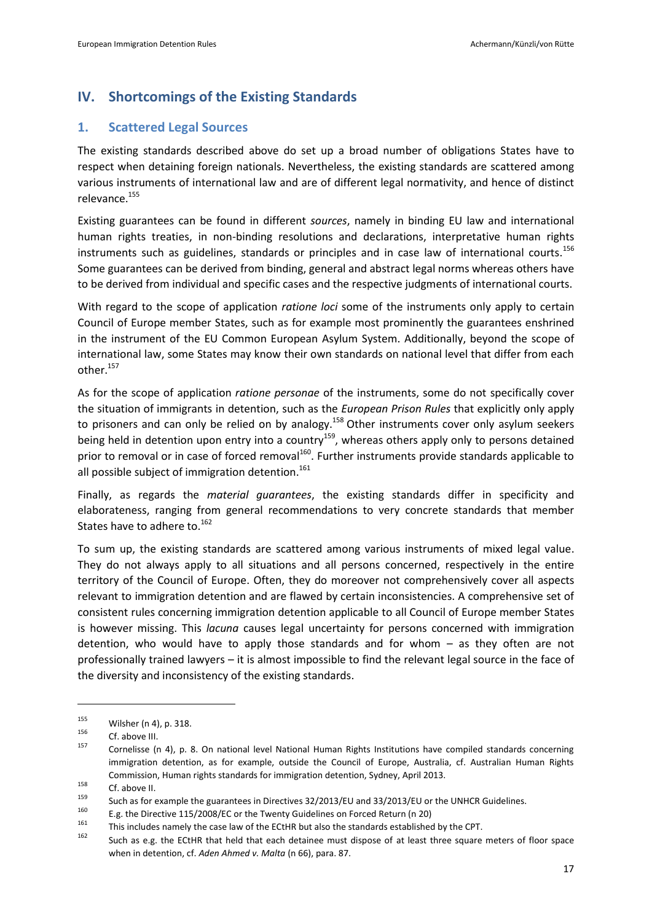# **IV. Shortcomings of the Existing Standards**

## **1. Scattered Legal Sources**

The existing standards described above do set up a broad number of obligations States have to respect when detaining foreign nationals. Nevertheless, the existing standards are scattered among various instruments of international law and are of different legal normativity, and hence of distinct relevance.<sup>155</sup>

Existing guarantees can be found in different *sources*, namely in binding EU law and international human rights treaties, in non-binding resolutions and declarations, interpretative human rights instruments such as guidelines, standards or principles and in case law of international courts.<sup>156</sup> Some guarantees can be derived from binding, general and abstract legal norms whereas others have to be derived from individual and specific cases and the respective judgments of international courts.

With regard to the scope of application *ratione loci* some of the instruments only apply to certain Council of Europe member States, such as for example most prominently the guarantees enshrined in the instrument of the EU Common European Asylum System. Additionally, beyond the scope of international law, some States may know their own standards on national level that differ from each other.<sup>157</sup>

As for the scope of application *ratione personae* of the instruments, some do not specifically cover the situation of immigrants in detention, such as the *European Prison Rules* that explicitly only apply to prisoners and can only be relied on by analogy.<sup>158</sup> Other instruments cover only asylum seekers being held in detention upon entry into a country<sup>159</sup>, whereas others apply only to persons detained prior to removal or in case of forced removal<sup>160</sup>. Further instruments provide standards applicable to all possible subject of immigration detention.<sup>161</sup>

Finally, as regards the *material guarantees*, the existing standards differ in specificity and elaborateness, ranging from general recommendations to very concrete standards that member States have to adhere to.<sup>162</sup>

To sum up, the existing standards are scattered among various instruments of mixed legal value. They do not always apply to all situations and all persons concerned, respectively in the entire territory of the Council of Europe. Often, they do moreover not comprehensively cover all aspects relevant to immigration detention and are flawed by certain inconsistencies. A comprehensive set of consistent rules concerning immigration detention applicable to all Council of Europe member States is however missing. This *lacuna* causes legal uncertainty for persons concerned with immigration detention, who would have to apply those standards and for whom – as they often are not professionally trained lawyers – it is almost impossible to find the relevant legal source in the face of the diversity and inconsistency of the existing standards.

 $\overline{a}$ 

<sup>160</sup> E.g. the Directive 115/2008/EC or the Twenty Guidelines on Forced Return ([n 20\)](#page-6-0)

<sup>155</sup> Wilsher (n [4\),](#page-4-1) p. 318.

 $156$  Cf. above III.

Cornelisse (n [4\)](#page-4-1), p. 8. On national level National Human Rights Institutions have compiled standards concerning immigration detention, as for example, outside the Council of Europe, Australia, cf. Australian Human Rights Commission, Human rights standards for immigration detention, Sydney, April 2013.

 $158$  Cf. abov[e II.](#page-4-2)

<sup>&</sup>lt;sup>159</sup> Such as for example the guarantees in Directives  $32/2013/EU$  and  $33/2013/EU$  or the UNHCR Guidelines.

<sup>&</sup>lt;sup>161</sup> This includes namely the case law of the ECtHR but also the standards established by the CPT.

Such as e.g. the ECtHR that held that each detainee must dispose of at least three square meters of floor space when in detention, cf. *Aden Ahmed v. Malta* ([n 66\)](#page-10-2), para. 87.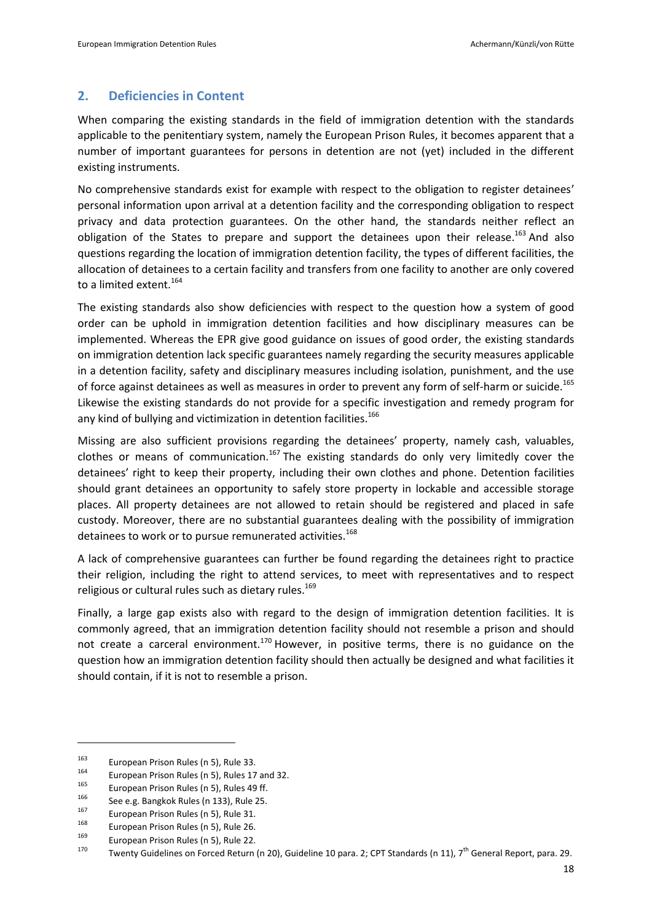## **2. Deficiencies in Content**

When comparing the existing standards in the field of immigration detention with the standards applicable to the penitentiary system, namely the European Prison Rules, it becomes apparent that a number of important guarantees for persons in detention are not (yet) included in the different existing instruments.

No comprehensive standards exist for example with respect to the obligation to register detainees' personal information upon arrival at a detention facility and the corresponding obligation to respect privacy and data protection guarantees. On the other hand, the standards neither reflect an obligation of the States to prepare and support the detainees upon their release.<sup>163</sup> And also questions regarding the location of immigration detention facility, the types of different facilities, the allocation of detainees to a certain facility and transfers from one facility to another are only covered to a limited extent.<sup>164</sup>

The existing standards also show deficiencies with respect to the question how a system of good order can be uphold in immigration detention facilities and how disciplinary measures can be implemented. Whereas the EPR give good guidance on issues of good order, the existing standards on immigration detention lack specific guarantees namely regarding the security measures applicable in a detention facility, safety and disciplinary measures including isolation, punishment, and the use of force against detainees as well as measures in order to prevent any form of self-harm or suicide.<sup>165</sup> Likewise the existing standards do not provide for a specific investigation and remedy program for any kind of bullying and victimization in detention facilities.<sup>166</sup>

Missing are also sufficient provisions regarding the detainees' property, namely cash, valuables, clothes or means of communication.<sup>167</sup> The existing standards do only very limitedly cover the detainees' right to keep their property, including their own clothes and phone. Detention facilities should grant detainees an opportunity to safely store property in lockable and accessible storage places. All property detainees are not allowed to retain should be registered and placed in safe custody. Moreover, there are no substantial guarantees dealing with the possibility of immigration detainees to work or to pursue remunerated activities.<sup>168</sup>

A lack of comprehensive guarantees can further be found regarding the detainees right to practice their religion, including the right to attend services, to meet with representatives and to respect religious or cultural rules such as dietary rules.<sup>169</sup>

Finally, a large gap exists also with regard to the design of immigration detention facilities. It is commonly agreed, that an immigration detention facility should not resemble a prison and should not create a carceral environment.<sup>170</sup> However, in positive terms, there is no guidance on the question how an immigration detention facility should then actually be designed and what facilities it should contain, if it is not to resemble a prison.

<sup>&</sup>lt;sup>163</sup> European Prison Rules ([n 5\)](#page-4-0), Rule 33.

<sup>&</sup>lt;sup>164</sup> European Prison Rules ([n 5\)](#page-4-0), Rules 17 and 32.

<sup>&</sup>lt;sup>165</sup> European Prison Rules ([n 5\)](#page-4-0), Rules 49 ff.

 $166$  See e.g. Bangkok Rules (n [133\)](#page-14-0), Rule 25.

 $167$  European Prison Rules ([n 5\)](#page-4-0), Rule 31.

<sup>&</sup>lt;sup>168</sup> European Prison Rules ([n 5\)](#page-4-0), Rule 26.

 $1^{169}$  European Prison Rules ([n 5\)](#page-4-0), Rule 22.

Twenty Guidelines on Forced Return (n [20\)](#page-6-0), Guideline 10 para. 2; CPT Standards ([n 11\)](#page-5-0), 7<sup>th</sup> General Report, para. 29.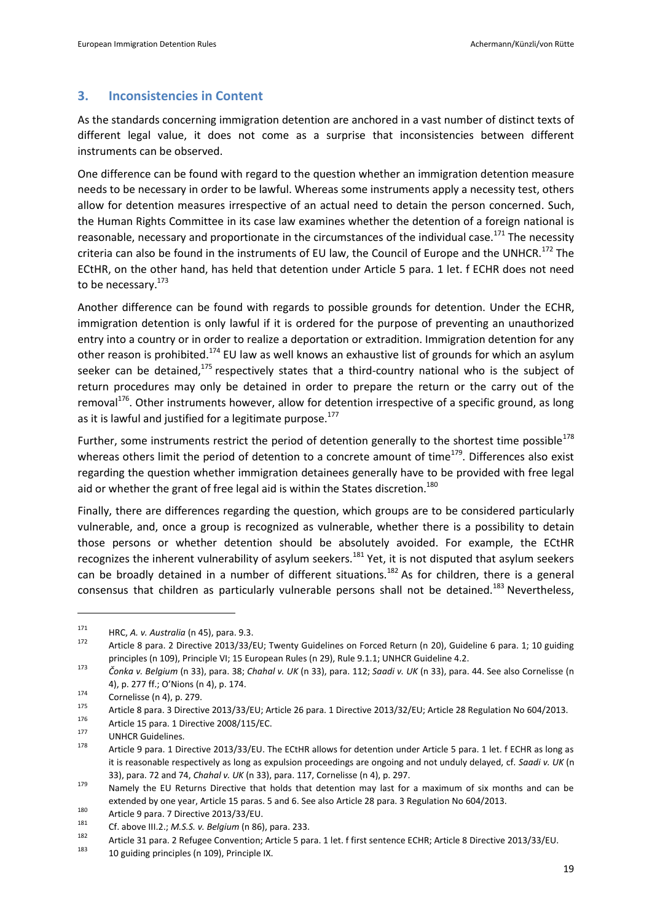## **3. Inconsistencies in Content**

As the standards concerning immigration detention are anchored in a vast number of distinct texts of different legal value, it does not come as a surprise that inconsistencies between different instruments can be observed.

One difference can be found with regard to the question whether an immigration detention measure needs to be necessary in order to be lawful. Whereas some instruments apply a necessity test, others allow for detention measures irrespective of an actual need to detain the person concerned. Such, the Human Rights Committee in its case law examines whether the detention of a foreign national is reasonable, necessary and proportionate in the circumstances of the individual case.<sup>171</sup> The necessity criteria can also be found in the instruments of EU law, the Council of Europe and the UNHCR.<sup>172</sup> The ECtHR, on the other hand, has held that detention under Article 5 para. 1 let. f ECHR does not need to be necessary.<sup>173</sup>

Another difference can be found with regards to possible grounds for detention. Under the ECHR, immigration detention is only lawful if it is ordered for the purpose of preventing an unauthorized entry into a country or in order to realize a deportation or extradition. Immigration detention for any other reason is prohibited.<sup>174</sup> EU law as well knows an exhaustive list of grounds for which an asylum seeker can be detained, $175$  respectively states that a third-country national who is the subject of return procedures may only be detained in order to prepare the return or the carry out of the removal $1^{76}$ . Other instruments however, allow for detention irrespective of a specific ground, as long as it is lawful and justified for a legitimate purpose.<sup>177</sup>

Further, some instruments restrict the period of detention generally to the shortest time possible<sup>178</sup> whereas others limit the period of detention to a concrete amount of time<sup>179</sup>. Differences also exist regarding the question whether immigration detainees generally have to be provided with free legal aid or whether the grant of free legal aid is within the States discretion.<sup>180</sup>

Finally, there are differences regarding the question, which groups are to be considered particularly vulnerable, and, once a group is recognized as vulnerable, whether there is a possibility to detain those persons or whether detention should be absolutely avoided. For example, the ECtHR recognizes the inherent vulnerability of asylum seekers.<sup>181</sup> Yet, it is not disputed that asylum seekers can be broadly detained in a number of different situations.<sup>182</sup> As for children, there is a general consensus that children as particularly vulnerable persons shall not be detained.<sup>183</sup> Nevertheless,

<sup>171</sup> **HRC,** *A. v. Australia* (n 45), para. 9.3.<br>172 **Article 8 nove 3 Directive 2013/32/11** 

Article 8 para. 2 Directive 2013/33/EU; Twenty Guidelines on Forced Return (n [20\)](#page-6-0), Guideline 6 para. 1; 10 guiding principles (n 109), Principle VI; 15 European Rules (n [29\)](#page-7-1), Rule 9.1.1; UNHCR Guideline 4.2.

<sup>173</sup> *Čonka v. Belgium* ([n 33\)](#page-7-0), para. 38; *Chahal v. UK* ([n 33\)](#page-7-0), para. 112; *Saadi v. UK* ([n 33\)](#page-7-0), para. 44. See also Cornelisse (n [4\)](#page-4-1), p. 277 ff.; O'Nions (n [4\)](#page-4-1), p. 174.

 $174$  Cornelisse ([n 4\)](#page-4-1), p. 279.

<sup>&</sup>lt;sup>175</sup> Article 8 para. 3 Directive 2013/33/EU; Article 26 para. 1 Directive 2013/32/EU; Article 28 Regulation No 604/2013.<br><sup>176</sup> Article 15 name, 1 Directive 2009/115/EC

Article 15 para. 1 Directive 2008/115/EC.

 $^{177}$  UNHCR Guidelines.

Article 9 para. 1 Directive 2013/33/EU. The ECtHR allows for detention under Article 5 para. 1 let. f ECHR as long as it is reasonable respectively as long as expulsion proceedings are ongoing and not unduly delayed, cf. *Saadi v. UK* (n [33\)](#page-7-0), para. 72 and 74, *Chahal v. UK* ([n 33\)](#page-7-0), para. 117, Cornelisse (n [4\)](#page-4-1), p. 297.

<sup>&</sup>lt;sup>179</sup> Namely the EU Returns Directive that holds that detention may last for a maximum of six months and can be extended by one year, Article 15 paras. 5 and 6. See also Article 28 para. 3 Regulation No 604/2013.

<sup>&</sup>lt;sup>180</sup> Article 9 para. 7 Directive 2013/33/EU.

<sup>181</sup> Cf. abov[e III.](#page-5-1)[2.](#page-9-0); *M.S.S. v. Belgium* ([n 86\)](#page-12-0), para. 233.

<sup>&</sup>lt;sup>182</sup> Article 31 para. 2 Refugee Convention; Article 5 para. 1 let. f first sentence ECHR; Article 8 Directive 2013/33/EU.

<sup>10</sup> guiding principles (n 109), Principle IX.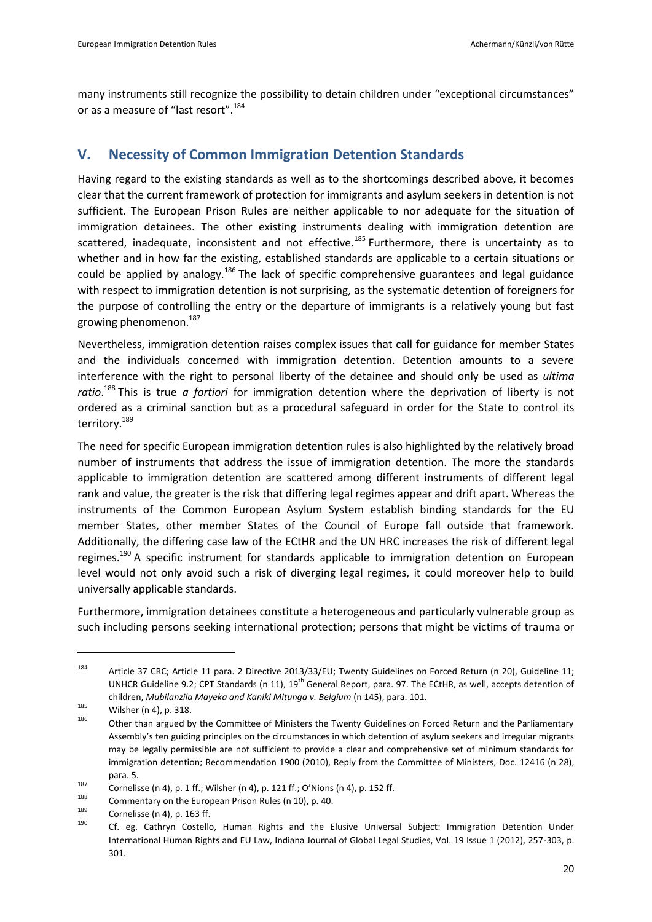many instruments still recognize the possibility to detain children under "exceptional circumstances" or as a measure of "last resort".<sup>184</sup>

# **V. Necessity of Common Immigration Detention Standards**

Having regard to the existing standards as well as to the shortcomings described above, it becomes clear that the current framework of protection for immigrants and asylum seekers in detention is not sufficient. The European Prison Rules are neither applicable to nor adequate for the situation of immigration detainees. The other existing instruments dealing with immigration detention are scattered, inadequate, inconsistent and not effective.<sup>185</sup> Furthermore, there is uncertainty as to whether and in how far the existing, established standards are applicable to a certain situations or could be applied by analogy.<sup>186</sup> The lack of specific comprehensive guarantees and legal guidance with respect to immigration detention is not surprising, as the systematic detention of foreigners for the purpose of controlling the entry or the departure of immigrants is a relatively young but fast growing phenomenon.<sup>187</sup>

Nevertheless, immigration detention raises complex issues that call for guidance for member States and the individuals concerned with immigration detention. Detention amounts to a severe interference with the right to personal liberty of the detainee and should only be used as *ultima ratio*. <sup>188</sup> This is true *a fortiori* for immigration detention where the deprivation of liberty is not ordered as a criminal sanction but as a procedural safeguard in order for the State to control its territory.<sup>189</sup>

The need for specific European immigration detention rules is also highlighted by the relatively broad number of instruments that address the issue of immigration detention. The more the standards applicable to immigration detention are scattered among different instruments of different legal rank and value, the greater is the risk that differing legal regimes appear and drift apart. Whereas the instruments of the Common European Asylum System establish binding standards for the EU member States, other member States of the Council of Europe fall outside that framework. Additionally, the differing case law of the ECtHR and the UN HRC increases the risk of different legal regimes.<sup>190</sup> A specific instrument for standards applicable to immigration detention on European level would not only avoid such a risk of diverging legal regimes, it could moreover help to build universally applicable standards.

Furthermore, immigration detainees constitute a heterogeneous and particularly vulnerable group as such including persons seeking international protection; persons that might be victims of trauma or

<sup>&</sup>lt;sup>184</sup> Article 37 CRC; Article 11 para. 2 Directive 2013/33/EU; Twenty Guidelines on Forced Return (n [20\)](#page-6-0), Guideline 11; UNHCR Guideline 9.2; CPT Standards (n [11\)](#page-5-0), 19<sup>th</sup> General Report, para. 97. The ECtHR, as well, accepts detention of children, *Mubilanzila Mayeka and Kaniki Mitunga v. Belgium* ([n 145\)](#page-15-0), para. 101.

 $\frac{185}{186}$  Wilsher (n [4\),](#page-4-1) p. 318.

Other than argued by the Committee of Ministers the Twenty Guidelines on Forced Return and the Parliamentary Assembly's ten guiding principles on the circumstances in which detention of asylum seekers and irregular migrants may be legally permissible are not sufficient to provide a clear and comprehensive set of minimum standards for immigration detention; Recommendation 1900 (2010), Reply from the Committee of Ministers, Doc. 12416 (n [28\)](#page-6-2), para. 5.

<sup>&</sup>lt;sup>187</sup> Cornelisse ([n 4\)](#page-4-1), p. 1 ff.; Wilsher (n 4), p. 121 ff.; O'Nions (n 4), p. 152 ff.

<sup>&</sup>lt;sup>188</sup> Commentary on the European Prison Rules ([n 10\)](#page-4-3), p. 40.

 $\frac{189}{190}$  Cornelisse ([n 4\)](#page-4-1), p. 163 ff.

Cf. eg. Cathryn Costello, Human Rights and the Elusive Universal Subject: Immigration Detention Under International Human Rights and EU Law, Indiana Journal of Global Legal Studies, Vol. 19 Issue 1 (2012), 257-303, p. 301.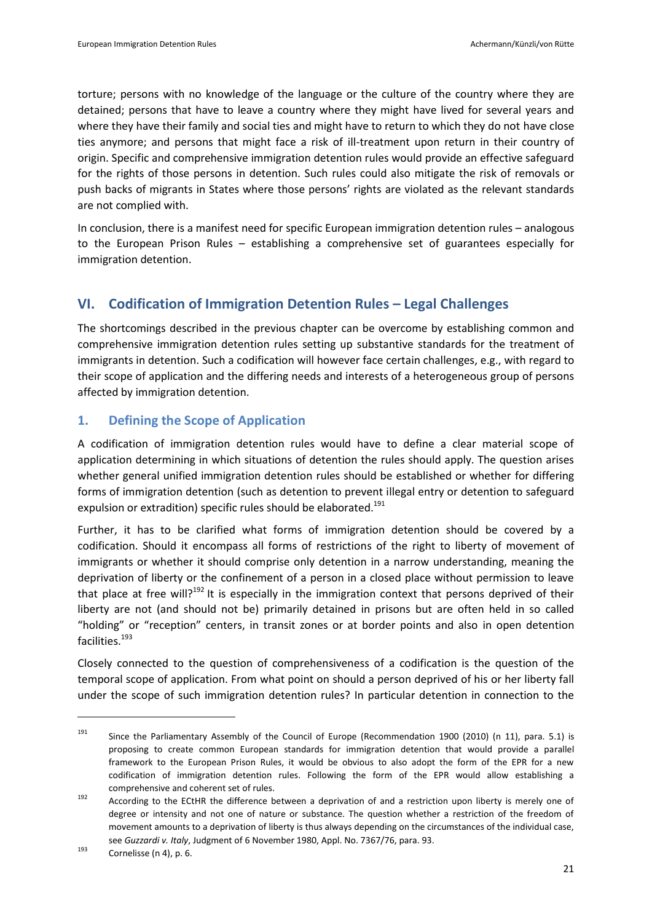torture; persons with no knowledge of the language or the culture of the country where they are detained; persons that have to leave a country where they might have lived for several years and where they have their family and social ties and might have to return to which they do not have close ties anymore; and persons that might face a risk of ill-treatment upon return in their country of origin. Specific and comprehensive immigration detention rules would provide an effective safeguard for the rights of those persons in detention. Such rules could also mitigate the risk of removals or push backs of migrants in States where those persons' rights are violated as the relevant standards are not complied with.

In conclusion, there is a manifest need for specific European immigration detention rules – analogous to the European Prison Rules – establishing a comprehensive set of guarantees especially for immigration detention.

# **VI. Codification of Immigration Detention Rules – Legal Challenges**

The shortcomings described in the previous chapter can be overcome by establishing common and comprehensive immigration detention rules setting up substantive standards for the treatment of immigrants in detention. Such a codification will however face certain challenges, e.g., with regard to their scope of application and the differing needs and interests of a heterogeneous group of persons affected by immigration detention.

# **1. Defining the Scope of Application**

A codification of immigration detention rules would have to define a clear material scope of application determining in which situations of detention the rules should apply. The question arises whether general unified immigration detention rules should be established or whether for differing forms of immigration detention (such as detention to prevent illegal entry or detention to safeguard expulsion or extradition) specific rules should be elaborated.<sup>191</sup>

Further, it has to be clarified what forms of immigration detention should be covered by a codification. Should it encompass all forms of restrictions of the right to liberty of movement of immigrants or whether it should comprise only detention in a narrow understanding, meaning the deprivation of liberty or the confinement of a person in a closed place without permission to leave that place at free will?<sup>192</sup> It is especially in the immigration context that persons deprived of their liberty are not (and should not be) primarily detained in prisons but are often held in so called "holding" or "reception" centers, in transit zones or at border points and also in open detention facilities.<sup>193</sup>

Closely connected to the question of comprehensiveness of a codification is the question of the temporal scope of application. From what point on should a person deprived of his or her liberty fall under the scope of such immigration detention rules? In particular detention in connection to the

<sup>&</sup>lt;sup>191</sup> Since the Parliamentary Assembly of the Council of Europe (Recommendation 1900 (2010) (n [11\)](#page-5-0), para. 5.1) is proposing to create common European standards for immigration detention that would provide a parallel framework to the European Prison Rules, it would be obvious to also adopt the form of the EPR for a new codification of immigration detention rules. Following the form of the EPR would allow establishing a comprehensive and coherent set of rules.

<sup>192</sup> According to the ECtHR the difference between a deprivation of and a restriction upon liberty is merely one of degree or intensity and not one of nature or substance. The question whether a restriction of the freedom of movement amounts to a deprivation of liberty is thus always depending on the circumstances of the individual case, see *Guzzardi v. Italy*, Judgment of 6 November 1980, Appl. No. 7367/76, para. 93.

 $^{193}$  Cornelisse ([n 4\)](#page-4-1), p. 6.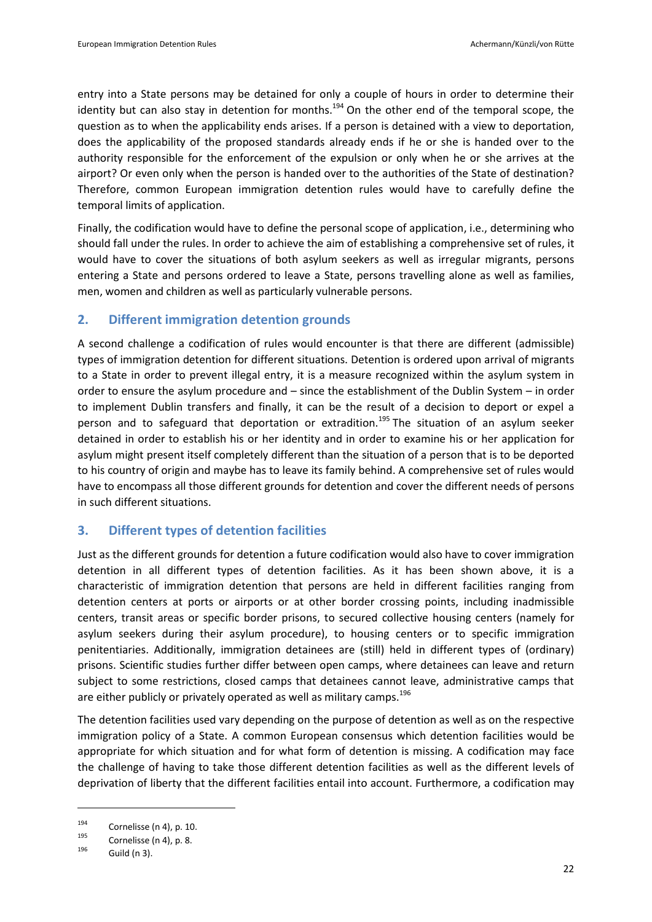entry into a State persons may be detained for only a couple of hours in order to determine their identity but can also stay in detention for months.<sup>194</sup> On the other end of the temporal scope, the question as to when the applicability ends arises. If a person is detained with a view to deportation, does the applicability of the proposed standards already ends if he or she is handed over to the authority responsible for the enforcement of the expulsion or only when he or she arrives at the airport? Or even only when the person is handed over to the authorities of the State of destination? Therefore, common European immigration detention rules would have to carefully define the temporal limits of application.

Finally, the codification would have to define the personal scope of application, i.e., determining who should fall under the rules. In order to achieve the aim of establishing a comprehensive set of rules, it would have to cover the situations of both asylum seekers as well as irregular migrants, persons entering a State and persons ordered to leave a State, persons travelling alone as well as families, men, women and children as well as particularly vulnerable persons.

## **2. Different immigration detention grounds**

A second challenge a codification of rules would encounter is that there are different (admissible) types of immigration detention for different situations. Detention is ordered upon arrival of migrants to a State in order to prevent illegal entry, it is a measure recognized within the asylum system in order to ensure the asylum procedure and – since the establishment of the Dublin System – in order to implement Dublin transfers and finally, it can be the result of a decision to deport or expel a person and to safeguard that deportation or extradition.<sup>195</sup> The situation of an asylum seeker detained in order to establish his or her identity and in order to examine his or her application for asylum might present itself completely different than the situation of a person that is to be deported to his country of origin and maybe has to leave its family behind. A comprehensive set of rules would have to encompass all those different grounds for detention and cover the different needs of persons in such different situations.

# **3. Different types of detention facilities**

Just as the different grounds for detention a future codification would also have to cover immigration detention in all different types of detention facilities. As it has been shown above, it is a characteristic of immigration detention that persons are held in different facilities ranging from detention centers at ports or airports or at other border crossing points, including inadmissible centers, transit areas or specific border prisons, to secured collective housing centers (namely for asylum seekers during their asylum procedure), to housing centers or to specific immigration penitentiaries. Additionally, immigration detainees are (still) held in different types of (ordinary) prisons. Scientific studies further differ between open camps, where detainees can leave and return subject to some restrictions, closed camps that detainees cannot leave, administrative camps that are either publicly or privately operated as well as military camps.<sup>196</sup>

The detention facilities used vary depending on the purpose of detention as well as on the respective immigration policy of a State. A common European consensus which detention facilities would be appropriate for which situation and for what form of detention is missing. A codification may face the challenge of having to take those different detention facilities as well as the different levels of deprivation of liberty that the different facilities entail into account. Furthermore, a codification may

 $^{194}$  Cornelisse ([n 4\)](#page-4-1), p. 10.

 $1^{95}$  Cornelisse ([n 4\)](#page-4-1), p. 8.

Guild (n [3\)](#page-3-0).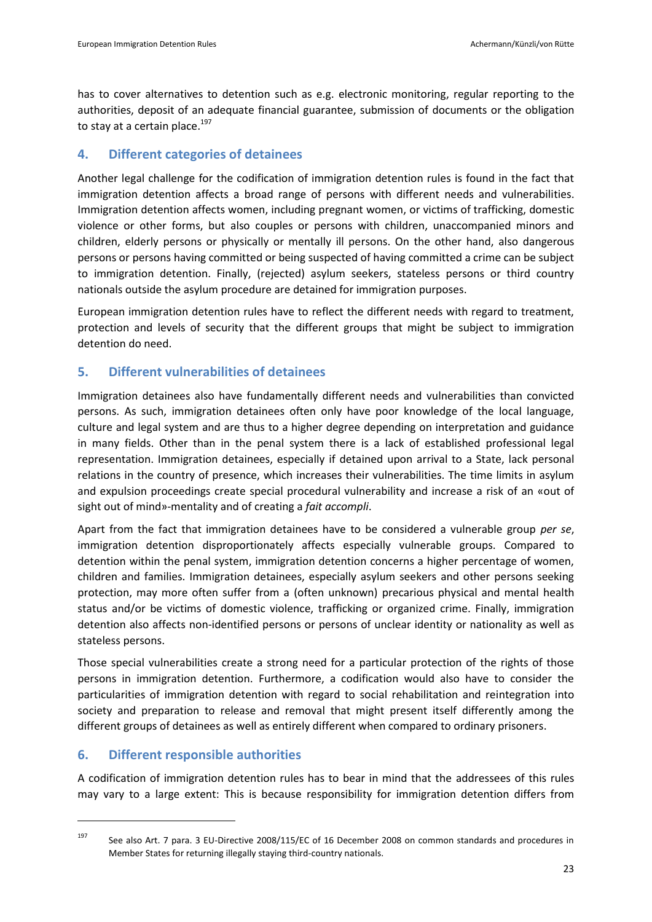has to cover alternatives to detention such as e.g. electronic monitoring, regular reporting to the authorities, deposit of an adequate financial guarantee, submission of documents or the obligation to stay at a certain place. $197$ 

# **4. Different categories of detainees**

Another legal challenge for the codification of immigration detention rules is found in the fact that immigration detention affects a broad range of persons with different needs and vulnerabilities. Immigration detention affects women, including pregnant women, or victims of trafficking, domestic violence or other forms, but also couples or persons with children, unaccompanied minors and children, elderly persons or physically or mentally ill persons. On the other hand, also dangerous persons or persons having committed or being suspected of having committed a crime can be subject to immigration detention. Finally, (rejected) asylum seekers, stateless persons or third country nationals outside the asylum procedure are detained for immigration purposes.

European immigration detention rules have to reflect the different needs with regard to treatment, protection and levels of security that the different groups that might be subject to immigration detention do need.

# **5. Different vulnerabilities of detainees**

Immigration detainees also have fundamentally different needs and vulnerabilities than convicted persons. As such, immigration detainees often only have poor knowledge of the local language, culture and legal system and are thus to a higher degree depending on interpretation and guidance in many fields. Other than in the penal system there is a lack of established professional legal representation. Immigration detainees, especially if detained upon arrival to a State, lack personal relations in the country of presence, which increases their vulnerabilities. The time limits in asylum and expulsion proceedings create special procedural vulnerability and increase a risk of an «out of sight out of mind»-mentality and of creating a *fait accompli*.

Apart from the fact that immigration detainees have to be considered a vulnerable group *per se*, immigration detention disproportionately affects especially vulnerable groups. Compared to detention within the penal system, immigration detention concerns a higher percentage of women, children and families. Immigration detainees, especially asylum seekers and other persons seeking protection, may more often suffer from a (often unknown) precarious physical and mental health status and/or be victims of domestic violence, trafficking or organized crime. Finally, immigration detention also affects non-identified persons or persons of unclear identity or nationality as well as stateless persons.

Those special vulnerabilities create a strong need for a particular protection of the rights of those persons in immigration detention. Furthermore, a codification would also have to consider the particularities of immigration detention with regard to social rehabilitation and reintegration into society and preparation to release and removal that might present itself differently among the different groups of detainees as well as entirely different when compared to ordinary prisoners.

# **6. Different responsible authorities**

 $\overline{a}$ 

A codification of immigration detention rules has to bear in mind that the addressees of this rules may vary to a large extent: This is because responsibility for immigration detention differs from

<sup>&</sup>lt;sup>197</sup> See also Art. 7 para. 3 EU-Directive 2008/115/EC of 16 December 2008 on common standards and procedures in Member States for returning illegally staying third-country nationals.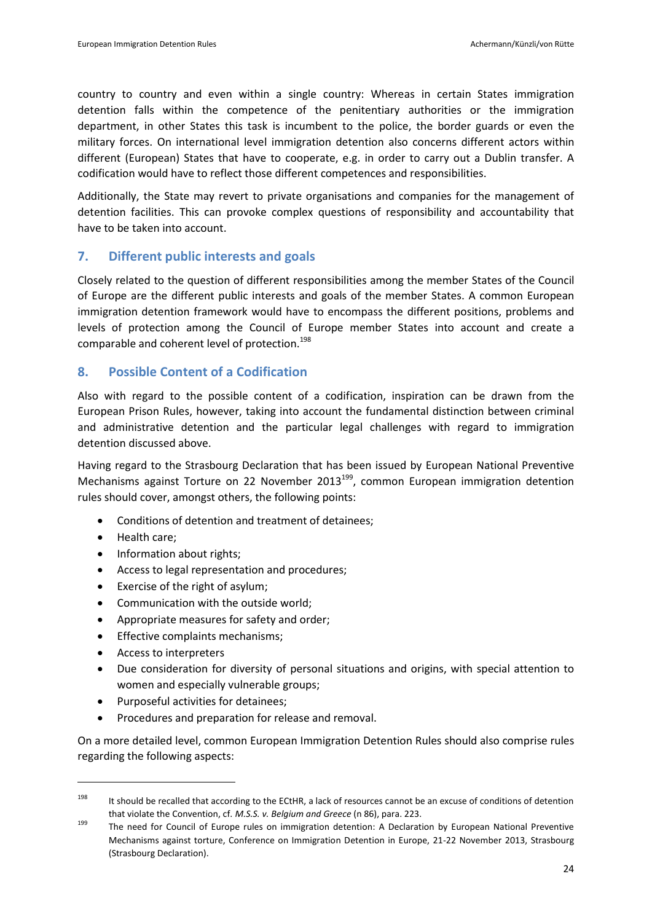country to country and even within a single country: Whereas in certain States immigration detention falls within the competence of the penitentiary authorities or the immigration department, in other States this task is incumbent to the police, the border guards or even the military forces. On international level immigration detention also concerns different actors within different (European) States that have to cooperate, e.g. in order to carry out a Dublin transfer. A codification would have to reflect those different competences and responsibilities.

Additionally, the State may revert to private organisations and companies for the management of detention facilities. This can provoke complex questions of responsibility and accountability that have to be taken into account.

## **7. Different public interests and goals**

Closely related to the question of different responsibilities among the member States of the Council of Europe are the different public interests and goals of the member States. A common European immigration detention framework would have to encompass the different positions, problems and levels of protection among the Council of Europe member States into account and create a comparable and coherent level of protection.<sup>198</sup>

## **8. Possible Content of a Codification**

Also with regard to the possible content of a codification, inspiration can be drawn from the European Prison Rules, however, taking into account the fundamental distinction between criminal and administrative detention and the particular legal challenges with regard to immigration detention discussed above.

Having regard to the Strasbourg Declaration that has been issued by European National Preventive Mechanisms against Torture on 22 November 2013 $^{199}$ , common European immigration detention rules should cover, amongst others, the following points:

- <span id="page-23-0"></span>Conditions of detention and treatment of detainees;
- Health care:

 $\overline{a}$ 

- Information about rights;
- Access to legal representation and procedures;
- Exercise of the right of asylum;
- Communication with the outside world;
- Appropriate measures for safety and order;
- Effective complaints mechanisms;
- Access to interpreters
- Due consideration for diversity of personal situations and origins, with special attention to women and especially vulnerable groups;
- Purposeful activities for detainees:
- Procedures and preparation for release and removal.

On a more detailed level, common European Immigration Detention Rules should also comprise rules regarding the following aspects:

<sup>&</sup>lt;sup>198</sup> It should be recalled that according to the ECtHR, a lack of resources cannot be an excuse of conditions of detention that violate the Convention, cf. *M.S.S. v. Belgium and Greece* ([n 86\)](#page-12-0), para. 223.

<sup>199</sup> The need for Council of Europe rules on immigration detention: A Declaration by European National Preventive Mechanisms against torture, Conference on Immigration Detention in Europe, 21-22 November 2013, Strasbourg (Strasbourg Declaration).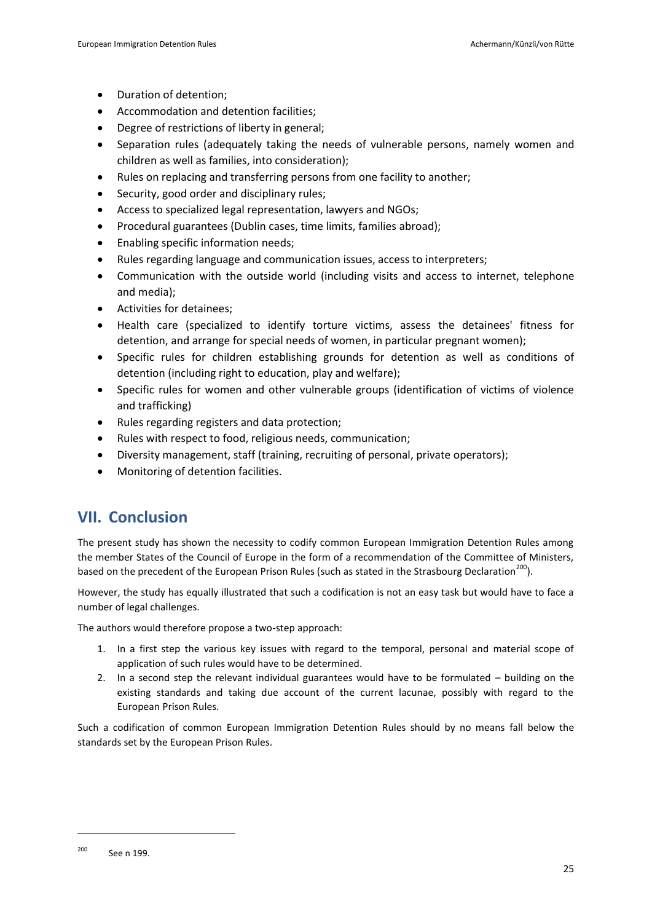- Duration of detention:
- Accommodation and detention facilities;
- Degree of restrictions of liberty in general;
- Separation rules (adequately taking the needs of vulnerable persons, namely women and children as well as families, into consideration);
- Rules on replacing and transferring persons from one facility to another;
- Security, good order and disciplinary rules;
- Access to specialized legal representation, lawyers and NGOs;
- Procedural guarantees (Dublin cases, time limits, families abroad);
- Enabling specific information needs;
- Rules regarding language and communication issues, access to interpreters;
- Communication with the outside world (including visits and access to internet, telephone and media);
- Activities for detainees;
- Health care (specialized to identify torture victims, assess the detainees' fitness for detention, and arrange for special needs of women, in particular pregnant women);
- Specific rules for children establishing grounds for detention as well as conditions of detention (including right to education, play and welfare);
- Specific rules for women and other vulnerable groups (identification of victims of violence and trafficking)
- Rules regarding registers and data protection;
- Rules with respect to food, religious needs, communication;
- Diversity management, staff (training, recruiting of personal, private operators);
- Monitoring of detention facilities.

# **VII. Conclusion**

The present study has shown the necessity to codify common European Immigration Detention Rules among the member States of the Council of Europe in the form of a recommendation of the Committee of Ministers, based on the precedent of the European Prison Rules (such as stated in the Strasbourg Declaration<sup>200</sup>).

However, the study has equally illustrated that such a codification is not an easy task but would have to face a number of legal challenges.

The authors would therefore propose a two-step approach:

- 1. In a first step the various key issues with regard to the temporal, personal and material scope of application of such rules would have to be determined.
- 2. In a second step the relevant individual guarantees would have to be formulated building on the existing standards and taking due account of the current lacunae, possibly with regard to the European Prison Rules.

Such a codification of common European Immigration Detention Rules should by no means fall below the standards set by the European Prison Rules.

<sup>200</sup> See n [199.](#page-23-0)